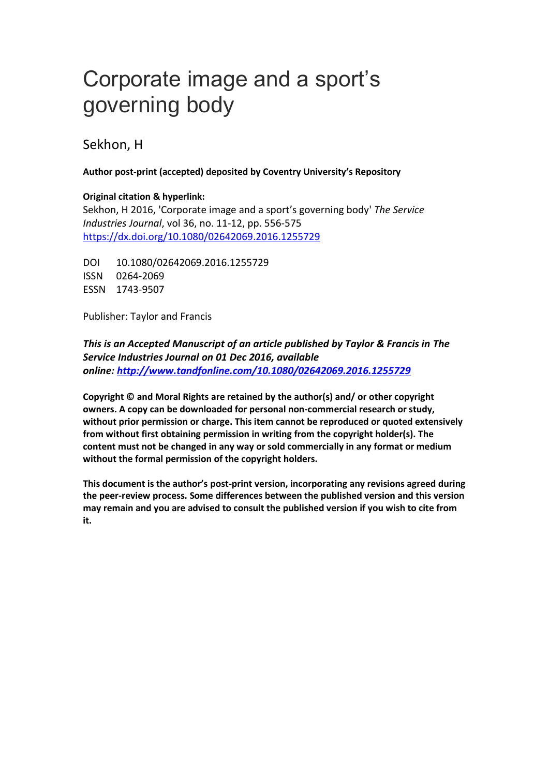# Corporate image and a sport's governing body

Sekhon, H

## **Author post-print (accepted) deposited by Coventry University's Repository**

## **Original citation & hyperlink:**

Sekhon, H 2016, 'Corporate image and a sport's governing body' *The Service Industries Journal*, vol 36, no. 11-12, pp. 556-575 <https://dx.doi.org/10.1080/02642069.2016.1255729>

DOI 10.1080/02642069.2016.1255729 ISSN 0264-2069 ESSN 1743-9507

Publisher: Taylor and Francis

*This is an Accepted Manuscript of an article published by Taylor & Francis in The Service Industries Journal on 01 Dec 2016, available online: <http://www.tandfonline.com/10.1080/02642069.2016.1255729>*

**Copyright © and Moral Rights are retained by the author(s) and/ or other copyright owners. A copy can be downloaded for personal non-commercial research or study, without prior permission or charge. This item cannot be reproduced or quoted extensively from without first obtaining permission in writing from the copyright holder(s). The content must not be changed in any way or sold commercially in any format or medium without the formal permission of the copyright holders.** 

**This document is the author's post-print version, incorporating any revisions agreed during the peer-review process. Some differences between the published version and this version may remain and you are advised to consult the published version if you wish to cite from it.**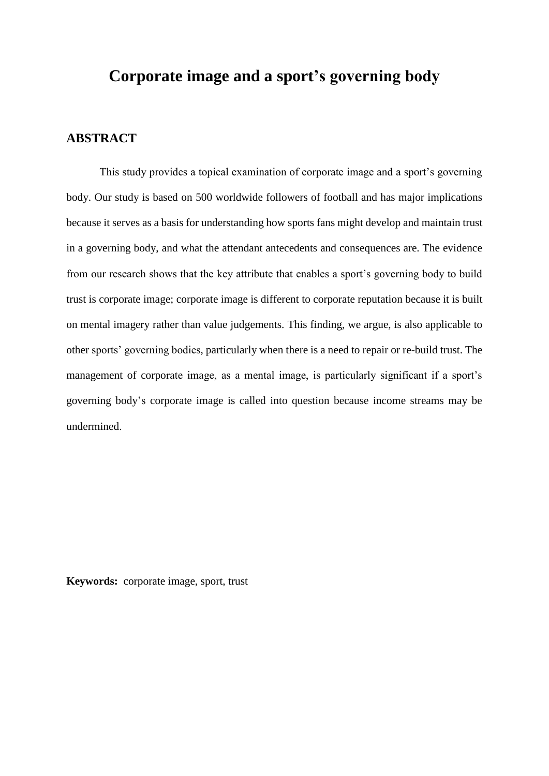# **Corporate image and a sport's governing body**

## **ABSTRACT**

This study provides a topical examination of corporate image and a sport's governing body. Our study is based on 500 worldwide followers of football and has major implications because it serves as a basis for understanding how sports fans might develop and maintain trust in a governing body, and what the attendant antecedents and consequences are. The evidence from our research shows that the key attribute that enables a sport's governing body to build trust is corporate image; corporate image is different to corporate reputation because it is built on mental imagery rather than value judgements. This finding, we argue, is also applicable to other sports' governing bodies, particularly when there is a need to repair or re-build trust. The management of corporate image, as a mental image, is particularly significant if a sport's governing body's corporate image is called into question because income streams may be undermined.

**Keywords:** corporate image, sport, trust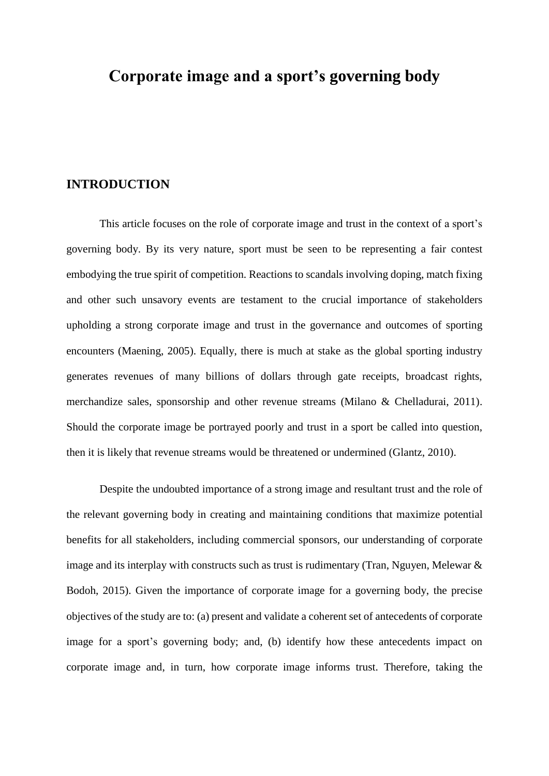## **Corporate image and a sport's governing body**

## **INTRODUCTION**

This article focuses on the role of corporate image and trust in the context of a sport's governing body. By its very nature, sport must be seen to be representing a fair contest embodying the true spirit of competition. Reactions to scandals involving doping, match fixing and other such unsavory events are testament to the crucial importance of stakeholders upholding a strong corporate image and trust in the governance and outcomes of sporting encounters (Maening, 2005). Equally, there is much at stake as the global sporting industry generates revenues of many billions of dollars through gate receipts, broadcast rights, merchandize sales, sponsorship and other revenue streams (Milano & Chelladurai, 2011). Should the corporate image be portrayed poorly and trust in a sport be called into question, then it is likely that revenue streams would be threatened or undermined (Glantz, 2010).

Despite the undoubted importance of a strong image and resultant trust and the role of the relevant governing body in creating and maintaining conditions that maximize potential benefits for all stakeholders, including commercial sponsors, our understanding of corporate image and its interplay with constructs such as trust is rudimentary (Tran, Nguyen, Melewar & Bodoh, 2015). Given the importance of corporate image for a governing body, the precise objectives of the study are to: (a) present and validate a coherent set of antecedents of corporate image for a sport's governing body; and, (b) identify how these antecedents impact on corporate image and, in turn, how corporate image informs trust. Therefore, taking the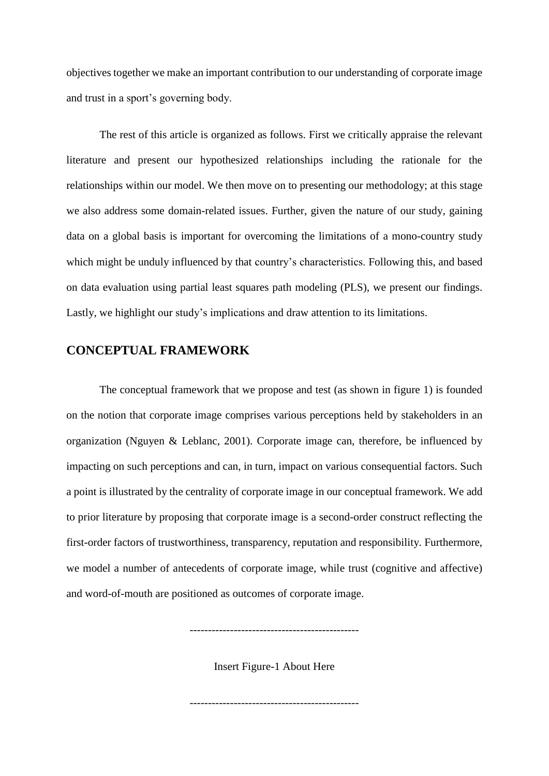objectives together we make an important contribution to our understanding of corporate image and trust in a sport's governing body.

The rest of this article is organized as follows. First we critically appraise the relevant literature and present our hypothesized relationships including the rationale for the relationships within our model. We then move on to presenting our methodology; at this stage we also address some domain-related issues. Further, given the nature of our study, gaining data on a global basis is important for overcoming the limitations of a mono-country study which might be unduly influenced by that country's characteristics. Following this, and based on data evaluation using partial least squares path modeling (PLS), we present our findings. Lastly, we highlight our study's implications and draw attention to its limitations.

## **CONCEPTUAL FRAMEWORK**

The conceptual framework that we propose and test (as shown in figure 1) is founded on the notion that corporate image comprises various perceptions held by stakeholders in an organization (Nguyen & Leblanc, 2001). Corporate image can, therefore, be influenced by impacting on such perceptions and can, in turn, impact on various consequential factors. Such a point is illustrated by the centrality of corporate image in our conceptual framework. We add to prior literature by proposing that corporate image is a second-order construct reflecting the first-order factors of trustworthiness, transparency, reputation and responsibility. Furthermore, we model a number of antecedents of corporate image, while trust (cognitive and affective) and word-of-mouth are positioned as outcomes of corporate image.

Insert Figure-1 About Here

----------------------------------------------

----------------------------------------------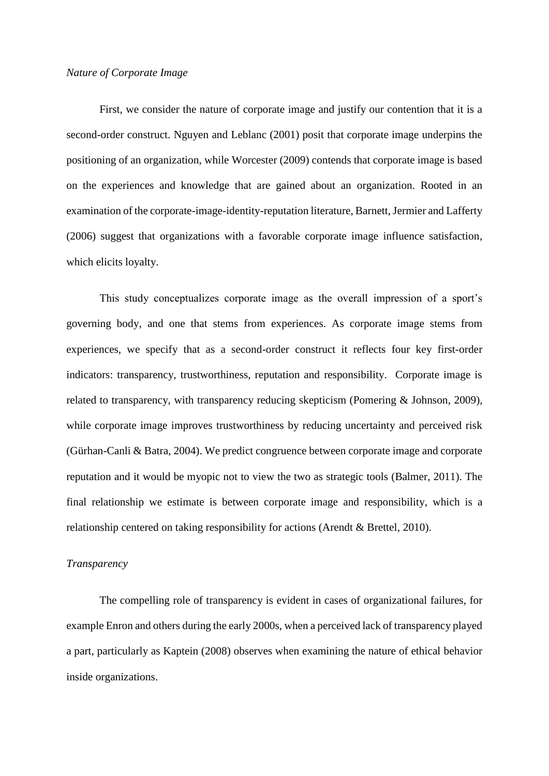## *Nature of Corporate Image*

First, we consider the nature of corporate image and justify our contention that it is a second-order construct. Nguyen and Leblanc (2001) posit that corporate image underpins the positioning of an organization, while Worcester (2009) contends that corporate image is based on the experiences and knowledge that are gained about an organization. Rooted in an examination of the corporate-image-identity-reputation literature, Barnett, Jermier and Lafferty (2006) suggest that organizations with a favorable corporate image influence satisfaction, which elicits loyalty.

This study conceptualizes corporate image as the overall impression of a sport's governing body, and one that stems from experiences. As corporate image stems from experiences, we specify that as a second-order construct it reflects four key first-order indicators: transparency, trustworthiness, reputation and responsibility. Corporate image is related to transparency, with transparency reducing skepticism (Pomering & Johnson, 2009), while corporate image improves trustworthiness by reducing uncertainty and perceived risk (Gürhan-Canli & Batra, 2004). We predict congruence between corporate image and corporate reputation and it would be myopic not to view the two as strategic tools (Balmer, 2011). The final relationship we estimate is between corporate image and responsibility, which is a relationship centered on taking responsibility for actions (Arendt & Brettel, 2010).

## *Transparency*

The compelling role of transparency is evident in cases of organizational failures, for example Enron and others during the early 2000s, when a perceived lack of transparency played a part, particularly as Kaptein (2008) observes when examining the nature of ethical behavior inside organizations.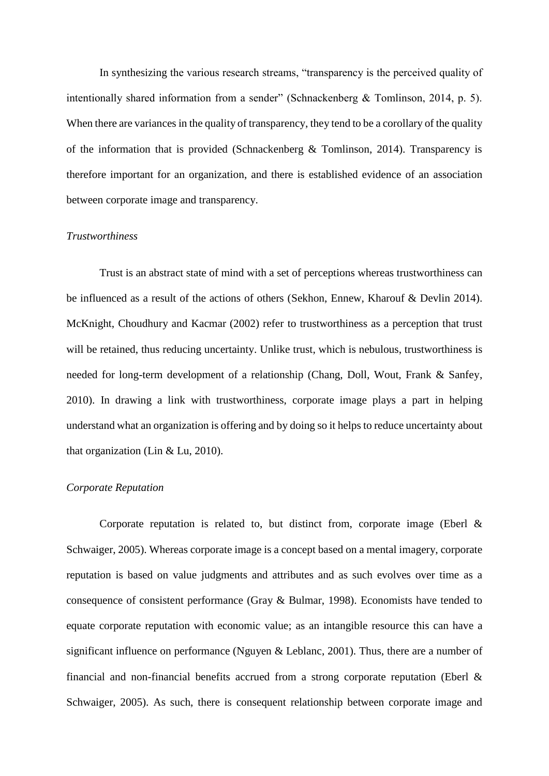In synthesizing the various research streams, "transparency is the perceived quality of intentionally shared information from a sender" (Schnackenberg & Tomlinson, 2014, p. 5). When there are variances in the quality of transparency, they tend to be a corollary of the quality of the information that is provided (Schnackenberg  $\&$  Tomlinson, 2014). Transparency is therefore important for an organization, and there is established evidence of an association between corporate image and transparency.

#### *Trustworthiness*

Trust is an abstract state of mind with a set of perceptions whereas trustworthiness can be influenced as a result of the actions of others (Sekhon, Ennew, Kharouf & Devlin 2014). McKnight, Choudhury and Kacmar (2002) refer to trustworthiness as a perception that trust will be retained, thus reducing uncertainty. Unlike trust, which is nebulous, trustworthiness is needed for long-term development of a relationship (Chang, Doll, Wout, Frank & Sanfey, 2010). In drawing a link with trustworthiness, corporate image plays a part in helping understand what an organization is offering and by doing so it helps to reduce uncertainty about that organization (Lin & Lu, 2010).

### *Corporate Reputation*

Corporate reputation is related to, but distinct from, corporate image (Eberl  $\&$ Schwaiger, 2005). Whereas corporate image is a concept based on a mental imagery, corporate reputation is based on value judgments and attributes and as such evolves over time as a consequence of consistent performance (Gray & Bulmar, 1998). Economists have tended to equate corporate reputation with economic value; as an intangible resource this can have a significant influence on performance (Nguyen & Leblanc, 2001). Thus, there are a number of financial and non-financial benefits accrued from a strong corporate reputation (Eberl & Schwaiger, 2005). As such, there is consequent relationship between corporate image and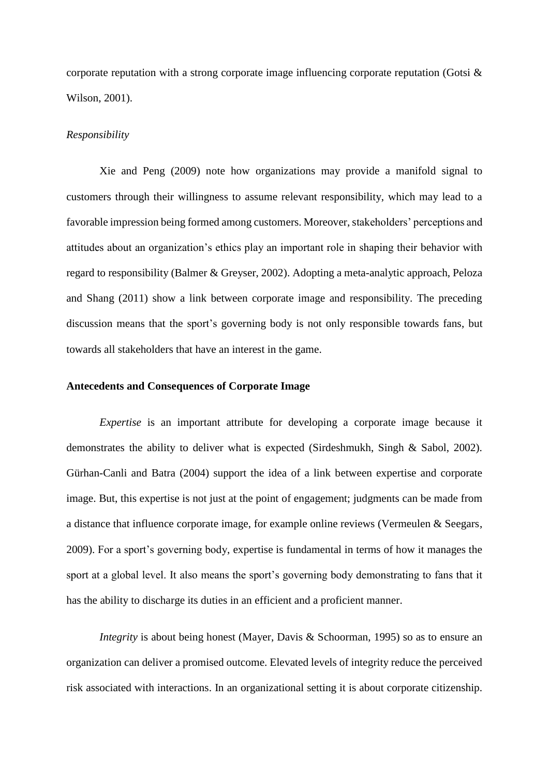corporate reputation with a strong corporate image influencing corporate reputation (Gotsi & Wilson, 2001).

#### *Responsibility*

Xie and Peng (2009) note how organizations may provide a manifold signal to customers through their willingness to assume relevant responsibility, which may lead to a favorable impression being formed among customers. Moreover, stakeholders' perceptions and attitudes about an organization's ethics play an important role in shaping their behavior with regard to responsibility (Balmer & Greyser, 2002). Adopting a meta-analytic approach, Peloza and Shang (2011) show a link between corporate image and responsibility. The preceding discussion means that the sport's governing body is not only responsible towards fans, but towards all stakeholders that have an interest in the game.

## **Antecedents and Consequences of Corporate Image**

*Expertise* is an important attribute for developing a corporate image because it demonstrates the ability to deliver what is expected (Sirdeshmukh, Singh & Sabol, 2002). Gürhan-Canli and Batra (2004) support the idea of a link between expertise and corporate image. But, this expertise is not just at the point of engagement; judgments can be made from a distance that influence corporate image, for example online reviews (Vermeulen & Seegars, 2009). For a sport's governing body, expertise is fundamental in terms of how it manages the sport at a global level. It also means the sport's governing body demonstrating to fans that it has the ability to discharge its duties in an efficient and a proficient manner.

*Integrity* is about being honest (Mayer, Davis & Schoorman, 1995) so as to ensure an organization can deliver a promised outcome. Elevated levels of integrity reduce the perceived risk associated with interactions. In an organizational setting it is about corporate citizenship.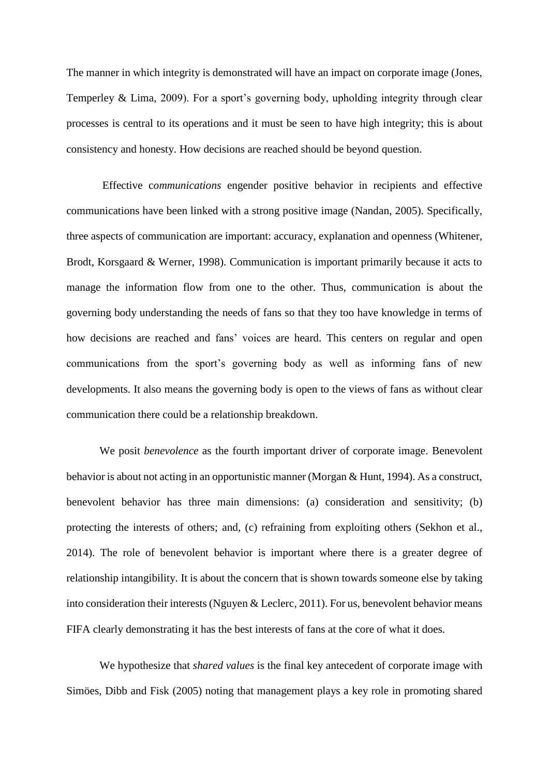The manner in which integrity is demonstrated will have an impact on corporate image (Jones, Temperley & Lima, 2009). For a sport's governing body, upholding integrity through clear processes is central to its operations and it must be seen to have high integrity; this is about consistency and honesty. How decisions are reached should be beyond question.

Effective c*ommunications* engender positive behavior in recipients and effective communications have been linked with a strong positive image (Nandan, 2005). Specifically, three aspects of communication are important: accuracy, explanation and openness (Whitener, Brodt, Korsgaard & Werner, 1998). Communication is important primarily because it acts to manage the information flow from one to the other. Thus, communication is about the governing body understanding the needs of fans so that they too have knowledge in terms of how decisions are reached and fans' voices are heard. This centers on regular and open communications from the sport's governing body as well as informing fans of new developments. It also means the governing body is open to the views of fans as without clear communication there could be a relationship breakdown.

We posit *benevolence* as the fourth important driver of corporate image. Benevolent behavior is about not acting in an opportunistic manner (Morgan & Hunt, 1994). As a construct, benevolent behavior has three main dimensions: (a) consideration and sensitivity; (b) protecting the interests of others; and, (c) refraining from exploiting others (Sekhon et al., 2014). The role of benevolent behavior is important where there is a greater degree of relationship intangibility. It is about the concern that is shown towards someone else by taking into consideration their interests (Nguyen & Leclerc, 2011). For us, benevolent behavior means FIFA clearly demonstrating it has the best interests of fans at the core of what it does.

We hypothesize that *shared values* is the final key antecedent of corporate image with Simöes, Dibb and Fisk (2005) noting that management plays a key role in promoting shared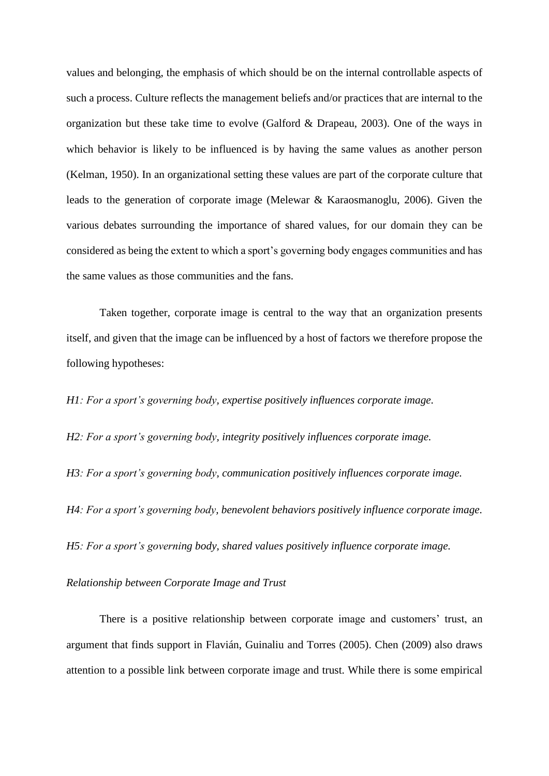values and belonging, the emphasis of which should be on the internal controllable aspects of such a process. Culture reflects the management beliefs and/or practices that are internal to the organization but these take time to evolve (Galford & Drapeau, 2003). One of the ways in which behavior is likely to be influenced is by having the same values as another person (Kelman, 1950). In an organizational setting these values are part of the corporate culture that leads to the generation of corporate image (Melewar & Karaosmanoglu, 2006). Given the various debates surrounding the importance of shared values, for our domain they can be considered as being the extent to which a sport's governing body engages communities and has the same values as those communities and the fans.

Taken together, corporate image is central to the way that an organization presents itself, and given that the image can be influenced by a host of factors we therefore propose the following hypotheses:

*H1: For a sport's governing body, expertise positively influences corporate image.*

*H2: For a sport's governing body, integrity positively influences corporate image.*

*H3: For a sport's governing body, communication positively influences corporate image.*

*H4: For a sport's governing body, benevolent behaviors positively influence corporate image.*

*H5: For a sport's governing body, shared values positively influence corporate image.*

## *Relationship between Corporate Image and Trust*

There is a positive relationship between corporate image and customers' trust, an argument that finds support in Flavián, Guinaliu and Torres (2005). Chen (2009) also draws attention to a possible link between corporate image and trust. While there is some empirical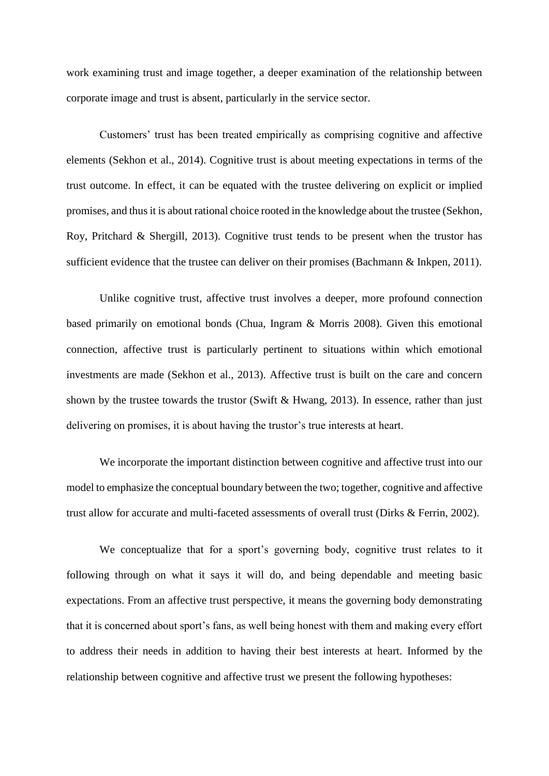work examining trust and image together, a deeper examination of the relationship between corporate image and trust is absent, particularly in the service sector.

Customers' trust has been treated empirically as comprising cognitive and affective elements (Sekhon et al., 2014). Cognitive trust is about meeting expectations in terms of the trust outcome. In effect, it can be equated with the trustee delivering on explicit or implied promises, and thus it is about rational choice rooted in the knowledge about the trustee (Sekhon, Roy, Pritchard & Shergill, 2013). Cognitive trust tends to be present when the trustor has sufficient evidence that the trustee can deliver on their promises (Bachmann & Inkpen, 2011).

Unlike cognitive trust, affective trust involves a deeper, more profound connection based primarily on emotional bonds (Chua, Ingram & Morris 2008). Given this emotional connection, affective trust is particularly pertinent to situations within which emotional investments are made (Sekhon et al., 2013). Affective trust is built on the care and concern shown by the trustee towards the trustor (Swift & Hwang, 2013). In essence, rather than just delivering on promises, it is about having the trustor's true interests at heart.

We incorporate the important distinction between cognitive and affective trust into our model to emphasize the conceptual boundary between the two; together, cognitive and affective trust allow for accurate and multi-faceted assessments of overall trust (Dirks & Ferrin, 2002).

We conceptualize that for a sport's governing body, cognitive trust relates to it following through on what it says it will do, and being dependable and meeting basic expectations. From an affective trust perspective, it means the governing body demonstrating that it is concerned about sport's fans, as well being honest with them and making every effort to address their needs in addition to having their best interests at heart. Informed by the relationship between cognitive and affective trust we present the following hypotheses: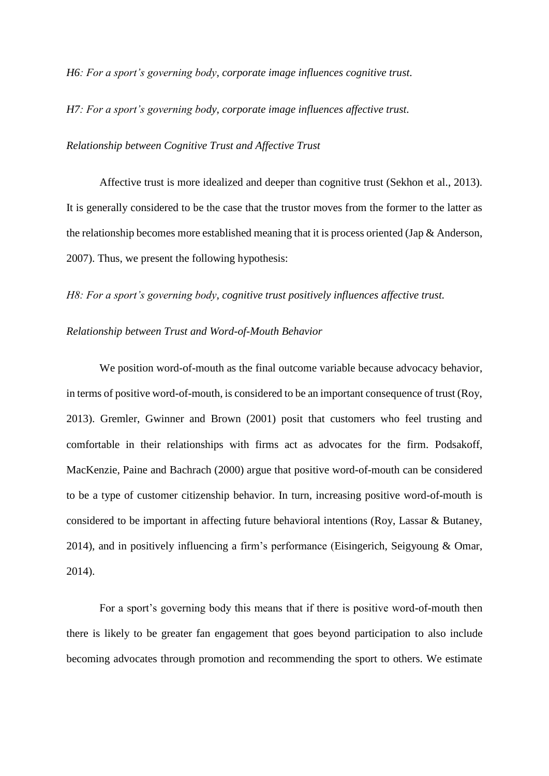*H6: For a sport's governing body, corporate image influences cognitive trust.*

*H7: For a sport's governing body, corporate image influences affective trust.*

*Relationship between Cognitive Trust and Affective Trust* 

Affective trust is more idealized and deeper than cognitive trust (Sekhon et al., 2013). It is generally considered to be the case that the trustor moves from the former to the latter as the relationship becomes more established meaning that it is process oriented (Jap & Anderson, 2007). Thus, we present the following hypothesis:

*H8: For a sport's governing body, cognitive trust positively influences affective trust.*

## *Relationship between Trust and Word-of-Mouth Behavior*

We position word-of-mouth as the final outcome variable because advocacy behavior, in terms of positive word-of-mouth, is considered to be an important consequence of trust (Roy, 2013). Gremler, Gwinner and Brown (2001) posit that customers who feel trusting and comfortable in their relationships with firms act as advocates for the firm. Podsakoff, MacKenzie, Paine and Bachrach (2000) argue that positive word-of-mouth can be considered to be a type of customer citizenship behavior. In turn, increasing positive word-of-mouth is considered to be important in affecting future behavioral intentions (Roy, Lassar & Butaney, 2014), and in positively influencing a firm's performance (Eisingerich, Seigyoung & Omar, 2014).

For a sport's governing body this means that if there is positive word-of-mouth then there is likely to be greater fan engagement that goes beyond participation to also include becoming advocates through promotion and recommending the sport to others. We estimate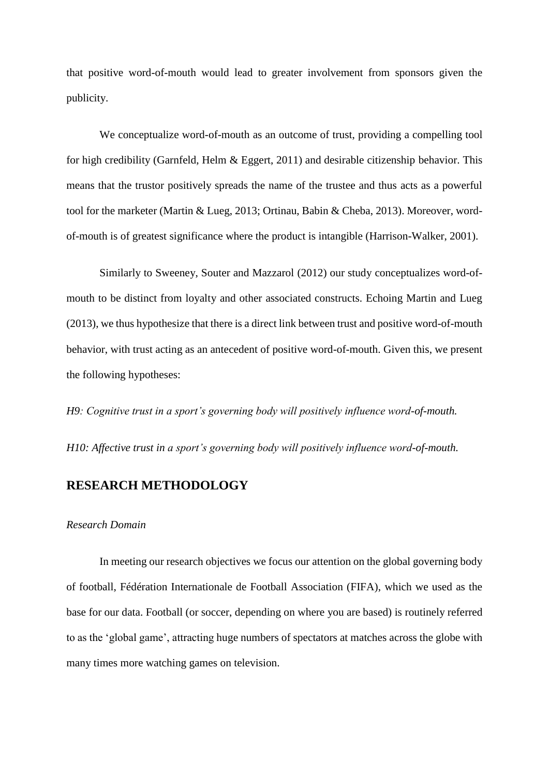that positive word-of-mouth would lead to greater involvement from sponsors given the publicity.

We conceptualize word-of-mouth as an outcome of trust, providing a compelling tool for high credibility (Garnfeld, Helm & Eggert, 2011) and desirable citizenship behavior. This means that the trustor positively spreads the name of the trustee and thus acts as a powerful tool for the marketer (Martin & Lueg, 2013; Ortinau, Babin & Cheba, 2013). Moreover, wordof-mouth is of greatest significance where the product is intangible (Harrison-Walker, 2001).

Similarly to Sweeney, Souter and Mazzarol (2012) our study conceptualizes word-ofmouth to be distinct from loyalty and other associated constructs. Echoing Martin and Lueg (2013), we thus hypothesize that there is a direct link between trust and positive word-of-mouth behavior, with trust acting as an antecedent of positive word-of-mouth. Given this, we present the following hypotheses:

*H9: Cognitive trust in a sport's governing body will positively influence word-of-mouth.*

*H10: Affective trust in a sport's governing body will positively influence word-of-mouth.*

## **RESEARCH METHODOLOGY**

#### *Research Domain*

In meeting our research objectives we focus our attention on the global governing body of football, Fédération Internationale de Football Association (FIFA), which we used as the base for our data. Football (or soccer, depending on where you are based) is routinely referred to as the 'global game', attracting huge numbers of spectators at matches across the globe with many times more watching games on television.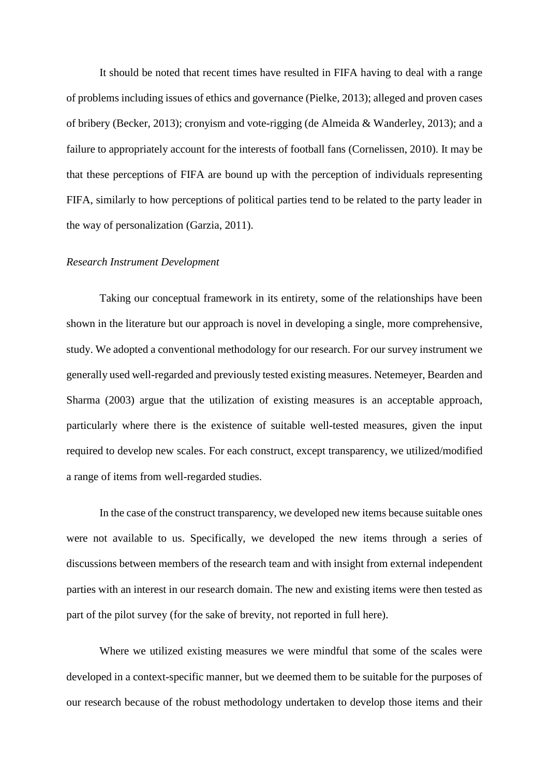It should be noted that recent times have resulted in FIFA having to deal with a range of problems including issues of ethics and governance (Pielke, 2013); alleged and proven cases of bribery (Becker, 2013); cronyism and vote-rigging (de Almeida & Wanderley, 2013); and a failure to appropriately account for the interests of football fans (Cornelissen, 2010). It may be that these perceptions of FIFA are bound up with the perception of individuals representing FIFA, similarly to how perceptions of political parties tend to be related to the party leader in the way of personalization (Garzia, 2011).

## *Research Instrument Development*

Taking our conceptual framework in its entirety, some of the relationships have been shown in the literature but our approach is novel in developing a single, more comprehensive, study. We adopted a conventional methodology for our research. For our survey instrument we generally used well-regarded and previously tested existing measures. Netemeyer, Bearden and Sharma (2003) argue that the utilization of existing measures is an acceptable approach, particularly where there is the existence of suitable well-tested measures, given the input required to develop new scales. For each construct, except transparency, we utilized/modified a range of items from well-regarded studies.

In the case of the construct transparency, we developed new items because suitable ones were not available to us. Specifically, we developed the new items through a series of discussions between members of the research team and with insight from external independent parties with an interest in our research domain. The new and existing items were then tested as part of the pilot survey (for the sake of brevity, not reported in full here).

Where we utilized existing measures we were mindful that some of the scales were developed in a context-specific manner, but we deemed them to be suitable for the purposes of our research because of the robust methodology undertaken to develop those items and their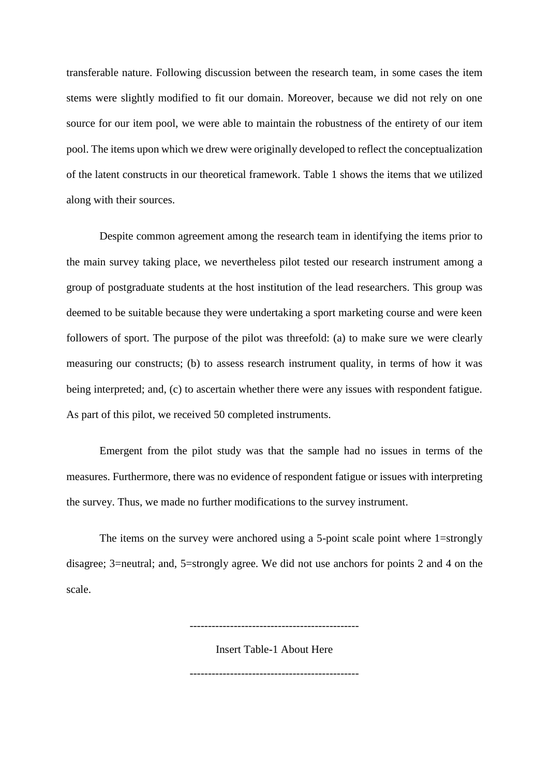transferable nature. Following discussion between the research team, in some cases the item stems were slightly modified to fit our domain. Moreover, because we did not rely on one source for our item pool, we were able to maintain the robustness of the entirety of our item pool. The items upon which we drew were originally developed to reflect the conceptualization of the latent constructs in our theoretical framework. Table 1 shows the items that we utilized along with their sources.

Despite common agreement among the research team in identifying the items prior to the main survey taking place, we nevertheless pilot tested our research instrument among a group of postgraduate students at the host institution of the lead researchers. This group was deemed to be suitable because they were undertaking a sport marketing course and were keen followers of sport. The purpose of the pilot was threefold: (a) to make sure we were clearly measuring our constructs; (b) to assess research instrument quality, in terms of how it was being interpreted; and, (c) to ascertain whether there were any issues with respondent fatigue. As part of this pilot, we received 50 completed instruments.

Emergent from the pilot study was that the sample had no issues in terms of the measures. Furthermore, there was no evidence of respondent fatigue or issues with interpreting the survey. Thus, we made no further modifications to the survey instrument.

The items on the survey were anchored using a 5-point scale point where 1=strongly disagree; 3=neutral; and, 5=strongly agree. We did not use anchors for points 2 and 4 on the scale.

Insert Table-1 About Here

----------------------------------------------

----------------------------------------------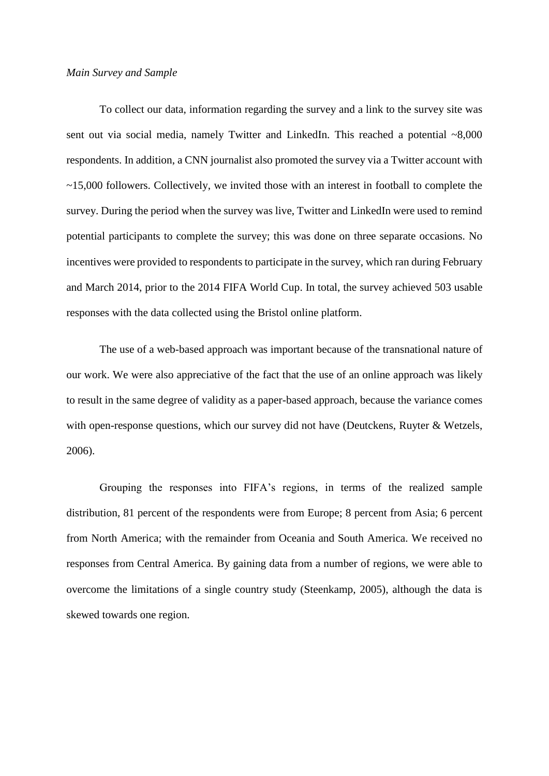## *Main Survey and Sample*

To collect our data, information regarding the survey and a link to the survey site was sent out via social media, namely Twitter and LinkedIn. This reached a potential ~8,000 respondents. In addition, a CNN journalist also promoted the survey via a Twitter account with ~15,000 followers. Collectively, we invited those with an interest in football to complete the survey. During the period when the survey was live, Twitter and LinkedIn were used to remind potential participants to complete the survey; this was done on three separate occasions. No incentives were provided to respondents to participate in the survey, which ran during February and March 2014, prior to the 2014 FIFA World Cup. In total, the survey achieved 503 usable responses with the data collected using the Bristol online platform.

The use of a web-based approach was important because of the transnational nature of our work. We were also appreciative of the fact that the use of an online approach was likely to result in the same degree of validity as a paper-based approach, because the variance comes with open-response questions, which our survey did not have (Deutckens, Ruyter & Wetzels, 2006).

Grouping the responses into FIFA's regions, in terms of the realized sample distribution, 81 percent of the respondents were from Europe; 8 percent from Asia; 6 percent from North America; with the remainder from Oceania and South America. We received no responses from Central America. By gaining data from a number of regions, we were able to overcome the limitations of a single country study (Steenkamp, 2005), although the data is skewed towards one region.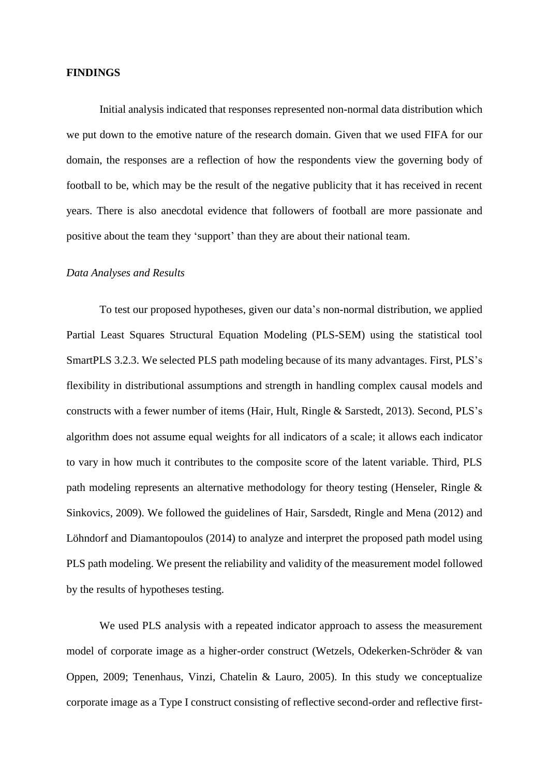### **FINDINGS**

Initial analysis indicated that responses represented non-normal data distribution which we put down to the emotive nature of the research domain. Given that we used FIFA for our domain, the responses are a reflection of how the respondents view the governing body of football to be, which may be the result of the negative publicity that it has received in recent years. There is also anecdotal evidence that followers of football are more passionate and positive about the team they 'support' than they are about their national team.

## *Data Analyses and Results*

To test our proposed hypotheses, given our data's non-normal distribution, we applied Partial Least Squares Structural Equation Modeling (PLS-SEM) using the statistical tool SmartPLS 3.2.3. We selected PLS path modeling because of its many advantages. First, PLS's flexibility in distributional assumptions and strength in handling complex causal models and constructs with a fewer number of items (Hair, Hult, Ringle & Sarstedt, 2013). Second, PLS's algorithm does not assume equal weights for all indicators of a scale; it allows each indicator to vary in how much it contributes to the composite score of the latent variable. Third, PLS path modeling represents an alternative methodology for theory testing (Henseler, Ringle & Sinkovics, 2009). We followed the guidelines of Hair, Sarsdedt, Ringle and Mena (2012) and Löhndorf and Diamantopoulos (2014) to analyze and interpret the proposed path model using PLS path modeling. We present the reliability and validity of the measurement model followed by the results of hypotheses testing.

We used PLS analysis with a repeated indicator approach to assess the measurement model of corporate image as a higher-order construct (Wetzels, Odekerken-Schröder & van Oppen, 2009; Tenenhaus, Vinzi, Chatelin & Lauro, 2005). In this study we conceptualize corporate image as a Type I construct consisting of reflective second-order and reflective first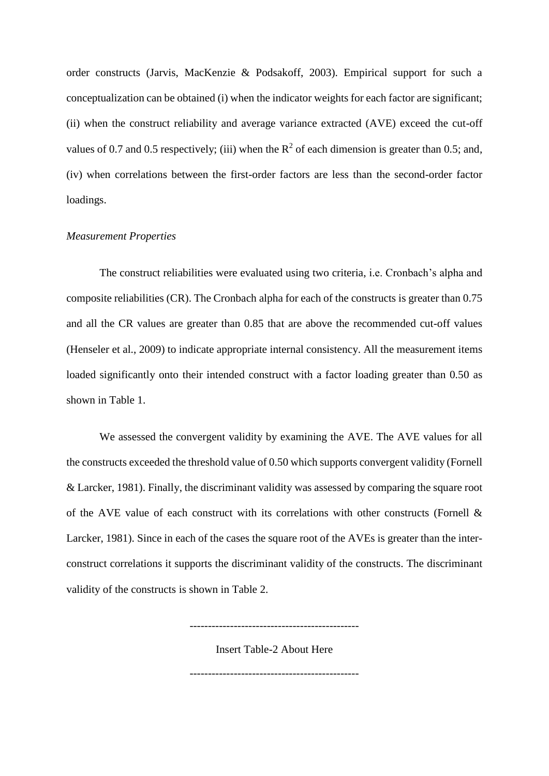order constructs (Jarvis, MacKenzie & Podsakoff, 2003). Empirical support for such a conceptualization can be obtained (i) when the indicator weights for each factor are significant; (ii) when the construct reliability and average variance extracted (AVE) exceed the cut-off values of 0.7 and 0.5 respectively; (iii) when the  $\mathbb{R}^2$  of each dimension is greater than 0.5; and, (iv) when correlations between the first-order factors are less than the second-order factor loadings.

## *Measurement Properties*

The construct reliabilities were evaluated using two criteria, i.e. Cronbach's alpha and composite reliabilities (CR). The Cronbach alpha for each of the constructs is greater than 0.75 and all the CR values are greater than 0.85 that are above the recommended cut-off values (Henseler et al., 2009) to indicate appropriate internal consistency. All the measurement items loaded significantly onto their intended construct with a factor loading greater than 0.50 as shown in Table 1.

We assessed the convergent validity by examining the AVE. The AVE values for all the constructs exceeded the threshold value of 0.50 which supports convergent validity (Fornell & Larcker, 1981). Finally, the discriminant validity was assessed by comparing the square root of the AVE value of each construct with its correlations with other constructs (Fornell & Larcker, 1981). Since in each of the cases the square root of the AVEs is greater than the interconstruct correlations it supports the discriminant validity of the constructs. The discriminant validity of the constructs is shown in Table 2.

Insert Table-2 About Here

----------------------------------------------

----------------------------------------------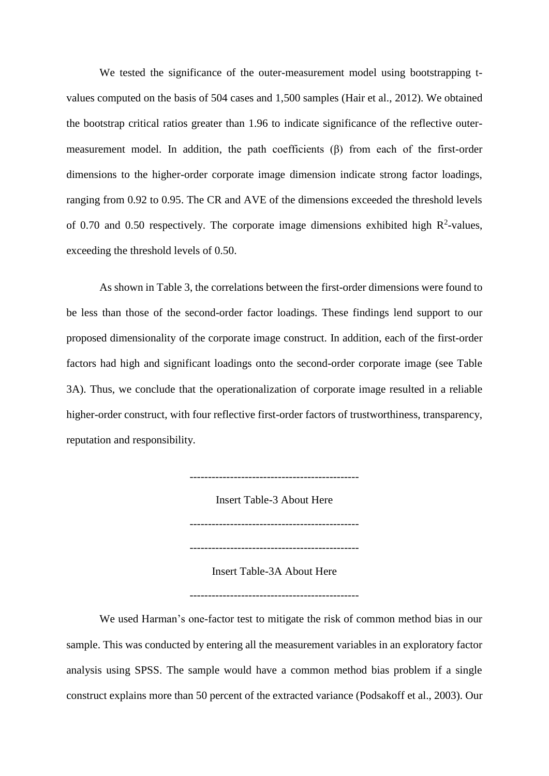We tested the significance of the outer-measurement model using bootstrapping tvalues computed on the basis of 504 cases and 1,500 samples (Hair et al., 2012). We obtained the bootstrap critical ratios greater than 1.96 to indicate significance of the reflective outermeasurement model. In addition, the path coefficients (β) from each of the first-order dimensions to the higher-order corporate image dimension indicate strong factor loadings, ranging from 0.92 to 0.95. The CR and AVE of the dimensions exceeded the threshold levels of 0.70 and 0.50 respectively. The corporate image dimensions exhibited high  $R^2$ -values, exceeding the threshold levels of 0.50.

As shown in Table 3, the correlations between the first-order dimensions were found to be less than those of the second-order factor loadings. These findings lend support to our proposed dimensionality of the corporate image construct. In addition, each of the first-order factors had high and significant loadings onto the second-order corporate image (see Table 3A). Thus, we conclude that the operationalization of corporate image resulted in a reliable higher-order construct, with four reflective first-order factors of trustworthiness, transparency, reputation and responsibility.

> ---------------------------------------------- Insert Table-3 About Here ---------------------------------------------- Insert Table-3A About Here

----------------------------------------------

We used Harman's one-factor test to mitigate the risk of common method bias in our sample. This was conducted by entering all the measurement variables in an exploratory factor analysis using SPSS. The sample would have a common method bias problem if a single construct explains more than 50 percent of the extracted variance (Podsakoff et al., 2003). Our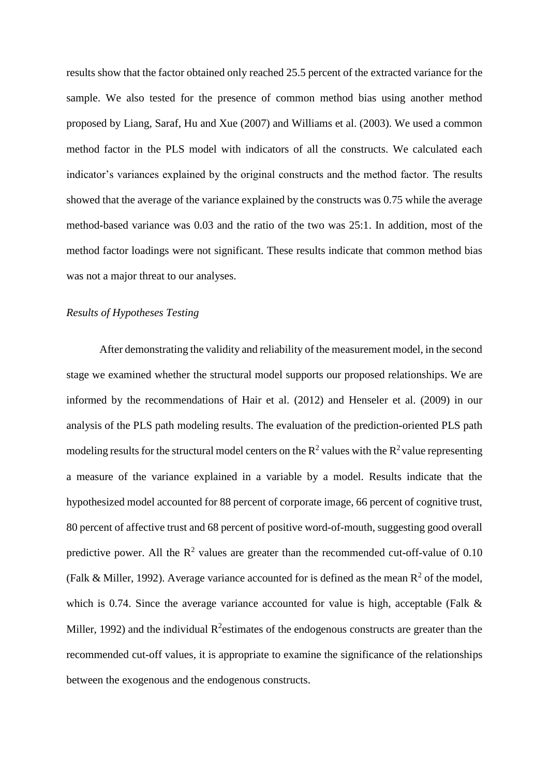results show that the factor obtained only reached 25.5 percent of the extracted variance for the sample. We also tested for the presence of common method bias using another method proposed by Liang, Saraf, Hu and Xue (2007) and Williams et al. (2003). We used a common method factor in the PLS model with indicators of all the constructs. We calculated each indicator's variances explained by the original constructs and the method factor. The results showed that the average of the variance explained by the constructs was 0.75 while the average method-based variance was 0.03 and the ratio of the two was 25:1. In addition, most of the method factor loadings were not significant. These results indicate that common method bias was not a major threat to our analyses.

## *Results of Hypotheses Testing*

After demonstrating the validity and reliability of the measurement model, in the second stage we examined whether the structural model supports our proposed relationships. We are informed by the recommendations of Hair et al. (2012) and Henseler et al. (2009) in our analysis of the PLS path modeling results. The evaluation of the prediction-oriented PLS path modeling results for the structural model centers on the  $R^2$  values with the  $R^2$  value representing a measure of the variance explained in a variable by a model. Results indicate that the hypothesized model accounted for 88 percent of corporate image, 66 percent of cognitive trust, 80 percent of affective trust and 68 percent of positive word-of-mouth, suggesting good overall predictive power. All the  $\mathbb{R}^2$  values are greater than the recommended cut-off-value of 0.10 (Falk & Miller, 1992). Average variance accounted for is defined as the mean  $R^2$  of the model, which is 0.74. Since the average variance accounted for value is high, acceptable (Falk & Miller, 1992) and the individual  $R^2$ estimates of the endogenous constructs are greater than the recommended cut-off values, it is appropriate to examine the significance of the relationships between the exogenous and the endogenous constructs.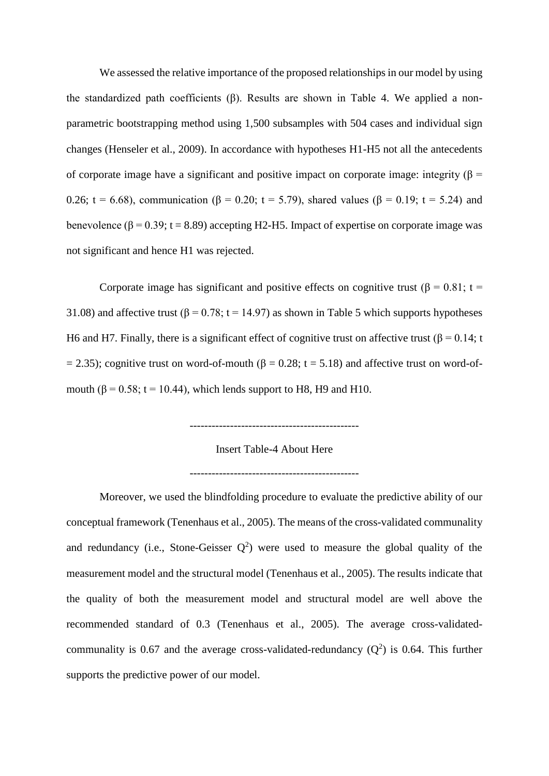We assessed the relative importance of the proposed relationships in our model by using the standardized path coefficients (β). Results are shown in Table 4. We applied a nonparametric bootstrapping method using 1,500 subsamples with 504 cases and individual sign changes (Henseler et al., 2009). In accordance with hypotheses H1-H5 not all the antecedents of corporate image have a significant and positive impact on corporate image: integrity ( $\beta$  = 0.26; t = 6.68), communication ( $\beta$  = 0.20; t = 5.79), shared values ( $\beta$  = 0.19; t = 5.24) and benevolence ( $\beta$  = 0.39; t = 8.89) accepting H2-H5. Impact of expertise on corporate image was not significant and hence H1 was rejected.

Corporate image has significant and positive effects on cognitive trust ( $\beta = 0.81$ ; t = 31.08) and affective trust  $(\beta = 0.78; t = 14.97)$  as shown in Table 5 which supports hypotheses H6 and H7. Finally, there is a significant effect of cognitive trust on affective trust  $(β = 0.14; t$  $= 2.35$ ); cognitive trust on word-of-mouth ( $\beta = 0.28$ ; t = 5.18) and affective trust on word-ofmouth  $(8 = 0.58$ ; t = 10.44), which lends support to H8, H9 and H10.

----------------------------------------------

Insert Table-4 About Here

----------------------------------------------

Moreover, we used the blindfolding procedure to evaluate the predictive ability of our conceptual framework (Tenenhaus et al., 2005). The means of the cross-validated communality and redundancy (i.e., Stone-Geisser  $Q^2$ ) were used to measure the global quality of the measurement model and the structural model (Tenenhaus et al., 2005). The results indicate that the quality of both the measurement model and structural model are well above the recommended standard of 0.3 (Tenenhaus et al., 2005). The average cross-validatedcommunality is 0.67 and the average cross-validated-redundancy  $(Q^2)$  is 0.64. This further supports the predictive power of our model.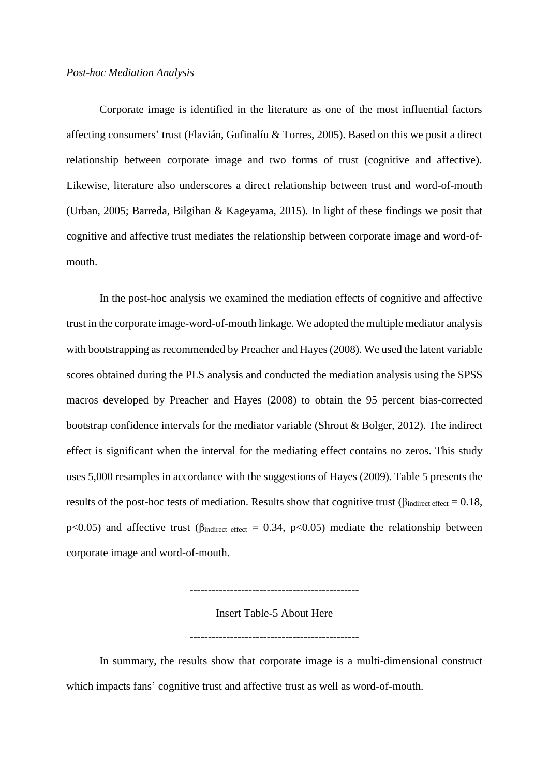#### *Post-hoc Mediation Analysis*

Corporate image is identified in the literature as one of the most influential factors affecting consumers' trust (Flavián, Gufinalíu & Torres, 2005). Based on this we posit a direct relationship between corporate image and two forms of trust (cognitive and affective). Likewise, literature also underscores a direct relationship between trust and word-of-mouth (Urban, 2005; Barreda, Bilgihan & Kageyama, 2015). In light of these findings we posit that cognitive and affective trust mediates the relationship between corporate image and word-ofmouth.

In the post-hoc analysis we examined the mediation effects of cognitive and affective trust in the corporate image-word-of-mouth linkage. We adopted the multiple mediator analysis with bootstrapping as recommended by Preacher and Hayes (2008). We used the latent variable scores obtained during the PLS analysis and conducted the mediation analysis using the SPSS macros developed by Preacher and Hayes (2008) to obtain the 95 percent bias-corrected bootstrap confidence intervals for the mediator variable (Shrout & Bolger, 2012). The indirect effect is significant when the interval for the mediating effect contains no zeros. This study uses 5,000 resamples in accordance with the suggestions of Hayes (2009). Table 5 presents the results of the post-hoc tests of mediation. Results show that cognitive trust ( $\beta_{\text{indirect effect}} = 0.18$ , p<0.05) and affective trust ( $\beta_{\text{indirect effect}} = 0.34$ , p<0.05) mediate the relationship between corporate image and word-of-mouth.

Insert Table-5 About Here

----------------------------------------------

----------------------------------------------

In summary, the results show that corporate image is a multi-dimensional construct which impacts fans' cognitive trust and affective trust as well as word-of-mouth.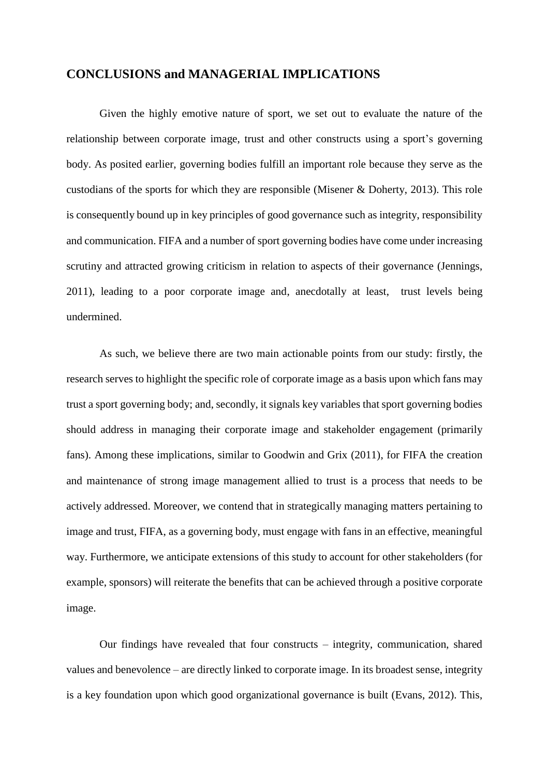## **CONCLUSIONS and MANAGERIAL IMPLICATIONS**

Given the highly emotive nature of sport, we set out to evaluate the nature of the relationship between corporate image, trust and other constructs using a sport's governing body. As posited earlier, governing bodies fulfill an important role because they serve as the custodians of the sports for which they are responsible (Misener & Doherty, 2013). This role is consequently bound up in key principles of good governance such as integrity, responsibility and communication. FIFA and a number of sport governing bodies have come under increasing scrutiny and attracted growing criticism in relation to aspects of their governance (Jennings, 2011), leading to a poor corporate image and, anecdotally at least, trust levels being undermined.

As such, we believe there are two main actionable points from our study: firstly, the research serves to highlight the specific role of corporate image as a basis upon which fans may trust a sport governing body; and, secondly, it signals key variables that sport governing bodies should address in managing their corporate image and stakeholder engagement (primarily fans). Among these implications, similar to Goodwin and Grix (2011), for FIFA the creation and maintenance of strong image management allied to trust is a process that needs to be actively addressed. Moreover, we contend that in strategically managing matters pertaining to image and trust, FIFA, as a governing body, must engage with fans in an effective, meaningful way. Furthermore, we anticipate extensions of this study to account for other stakeholders (for example, sponsors) will reiterate the benefits that can be achieved through a positive corporate image.

Our findings have revealed that four constructs – integrity, communication, shared values and benevolence – are directly linked to corporate image. In its broadest sense, integrity is a key foundation upon which good organizational governance is built (Evans, 2012). This,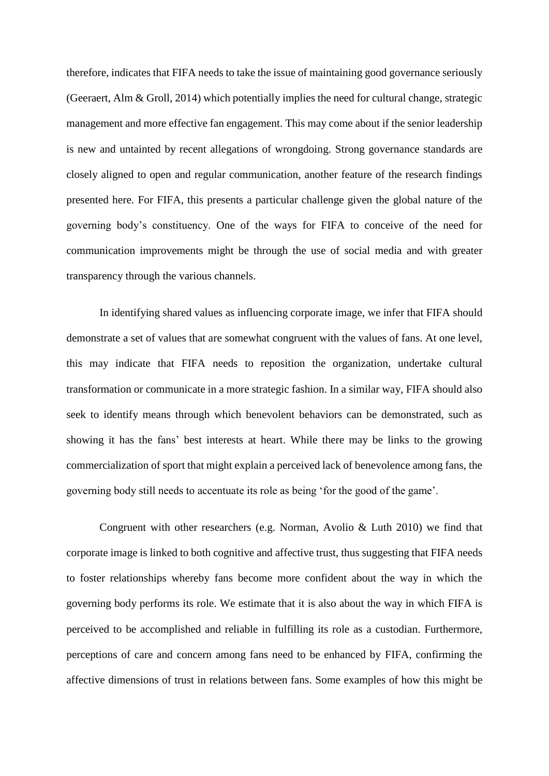therefore, indicates that FIFA needs to take the issue of maintaining good governance seriously (Geeraert, Alm & Groll, 2014) which potentially implies the need for cultural change, strategic management and more effective fan engagement. This may come about if the senior leadership is new and untainted by recent allegations of wrongdoing. Strong governance standards are closely aligned to open and regular communication, another feature of the research findings presented here. For FIFA, this presents a particular challenge given the global nature of the governing body's constituency. One of the ways for FIFA to conceive of the need for communication improvements might be through the use of social media and with greater transparency through the various channels.

In identifying shared values as influencing corporate image, we infer that FIFA should demonstrate a set of values that are somewhat congruent with the values of fans. At one level, this may indicate that FIFA needs to reposition the organization, undertake cultural transformation or communicate in a more strategic fashion. In a similar way, FIFA should also seek to identify means through which benevolent behaviors can be demonstrated, such as showing it has the fans' best interests at heart. While there may be links to the growing commercialization of sport that might explain a perceived lack of benevolence among fans, the governing body still needs to accentuate its role as being 'for the good of the game'.

Congruent with other researchers (e.g. Norman, Avolio & Luth 2010) we find that corporate image is linked to both cognitive and affective trust, thus suggesting that FIFA needs to foster relationships whereby fans become more confident about the way in which the governing body performs its role. We estimate that it is also about the way in which FIFA is perceived to be accomplished and reliable in fulfilling its role as a custodian. Furthermore, perceptions of care and concern among fans need to be enhanced by FIFA, confirming the affective dimensions of trust in relations between fans. Some examples of how this might be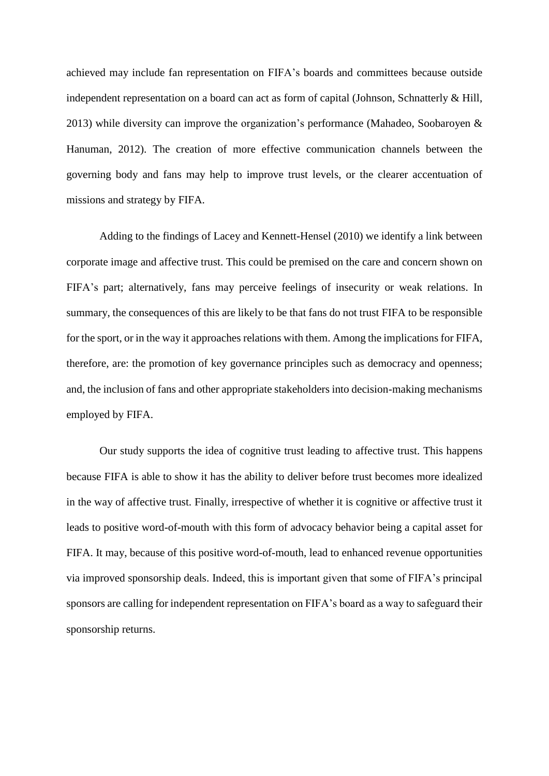achieved may include fan representation on FIFA's boards and committees because outside independent representation on a board can act as form of capital (Johnson, Schnatterly  $\&$  Hill, 2013) while diversity can improve the organization's performance (Mahadeo, Soobaroyen & Hanuman, 2012). The creation of more effective communication channels between the governing body and fans may help to improve trust levels, or the clearer accentuation of missions and strategy by FIFA.

Adding to the findings of Lacey and Kennett-Hensel (2010) we identify a link between corporate image and affective trust. This could be premised on the care and concern shown on FIFA's part; alternatively, fans may perceive feelings of insecurity or weak relations. In summary, the consequences of this are likely to be that fans do not trust FIFA to be responsible for the sport, or in the way it approaches relations with them. Among the implications for FIFA, therefore, are: the promotion of key governance principles such as democracy and openness; and, the inclusion of fans and other appropriate stakeholders into decision-making mechanisms employed by FIFA.

Our study supports the idea of cognitive trust leading to affective trust. This happens because FIFA is able to show it has the ability to deliver before trust becomes more idealized in the way of affective trust. Finally, irrespective of whether it is cognitive or affective trust it leads to positive word-of-mouth with this form of advocacy behavior being a capital asset for FIFA. It may, because of this positive word-of-mouth, lead to enhanced revenue opportunities via improved sponsorship deals. Indeed, this is important given that some of FIFA's principal sponsors are calling for independent representation on FIFA's board as a way to safeguard their sponsorship returns.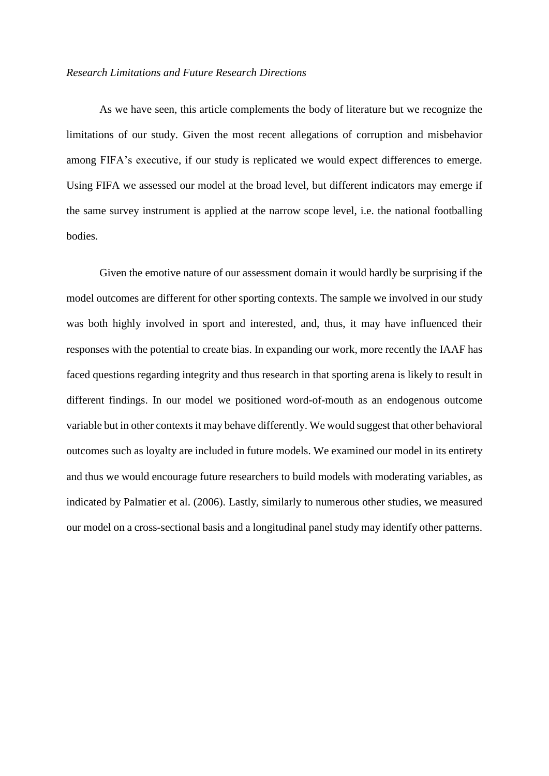#### *Research Limitations and Future Research Directions*

As we have seen, this article complements the body of literature but we recognize the limitations of our study. Given the most recent allegations of corruption and misbehavior among FIFA's executive, if our study is replicated we would expect differences to emerge. Using FIFA we assessed our model at the broad level, but different indicators may emerge if the same survey instrument is applied at the narrow scope level, i.e. the national footballing bodies.

Given the emotive nature of our assessment domain it would hardly be surprising if the model outcomes are different for other sporting contexts. The sample we involved in our study was both highly involved in sport and interested, and, thus, it may have influenced their responses with the potential to create bias. In expanding our work, more recently the IAAF has faced questions regarding integrity and thus research in that sporting arena is likely to result in different findings. In our model we positioned word-of-mouth as an endogenous outcome variable but in other contexts it may behave differently. We would suggest that other behavioral outcomes such as loyalty are included in future models. We examined our model in its entirety and thus we would encourage future researchers to build models with moderating variables, as indicated by Palmatier et al. (2006). Lastly, similarly to numerous other studies, we measured our model on a cross-sectional basis and a longitudinal panel study may identify other patterns.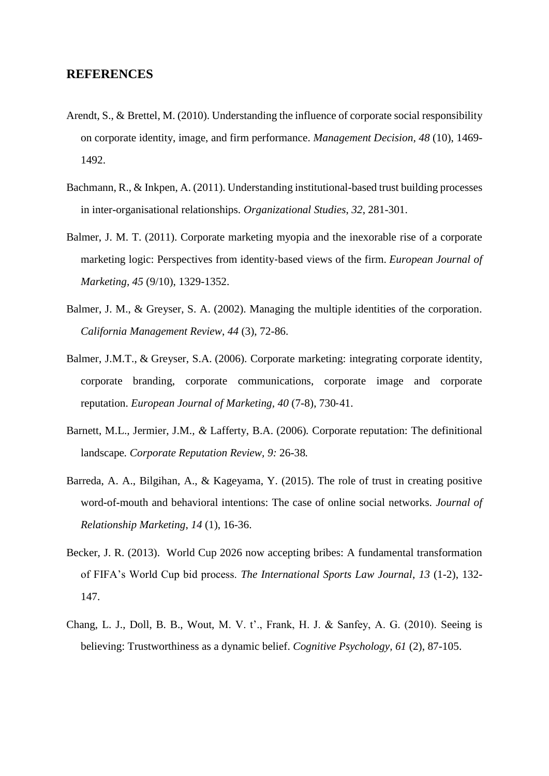## **REFERENCES**

- [Arendt,](http://www.emeraldinsight.com/action/doSearch?ContribStored=Arendt%2c+S) S., & [Brettel,](http://www.emeraldinsight.com/action/doSearch?ContribStored=Brettel%2c+M) M. (2010). Understanding the influence of corporate social responsibility on corporate identity, image, and firm performance. *Management Decision, 48* (10), 1469- 1492.
- Bachmann, R., & Inkpen, A. (2011). Understanding institutional-based trust building processes in inter-organisational relationships. *Organizational Studies*, *32*, 281-301.
- [Balmer,](http://www.emeraldinsight.com/action/doSearch?ContribStored=Balmer%2c+J+M) J. M. T. (2011). Corporate marketing myopia and the inexorable rise of a corporate marketing logic: Perspectives from identity‐based views of the firm. *European Journal of Marketing, 45* (9/10), 1329-1352.
- Balmer, J. M., & Greyser, S. A. (2002). Managing the multiple identities of the corporation. *California Management Review*, *44* (3), 72-86.
- Balmer, J.M.T., & Greyser, S.A. (2006). Corporate marketing: integrating corporate identity, corporate branding, corporate communications, corporate image and corporate reputation. *European Journal of Marketing, 40* (7-8), 730‐41.
- Barnett, M.L.*,* Jermier, J.M.*, &* Lafferty, B.A. (2006)*.* Corporate reputation: The definitional landscape*. Corporate Reputation Review, 9:* 26*-*38*.*
- Barreda, A. A., Bilgihan, A., & Kageyama, Y. (2015). The role of trust in creating positive word-of-mouth and behavioral intentions: The case of online social networks. *Journal of Relationship Marketing*, *14* (1), 16-36.
- Becker, J. R. (2013). World Cup 2026 now accepting bribes: A fundamental transformation of FIFA's World Cup bid process. *The International Sports Law Journal*, *13* (1-2), 132- 147.
- Chang, L. J., Doll, B. B., Wout, M. V. t'., Frank, H. J. & Sanfey, A. G. (2010). Seeing is believing: Trustworthiness as a dynamic belief. *Cognitive Psychology, 61* (2), 87-105.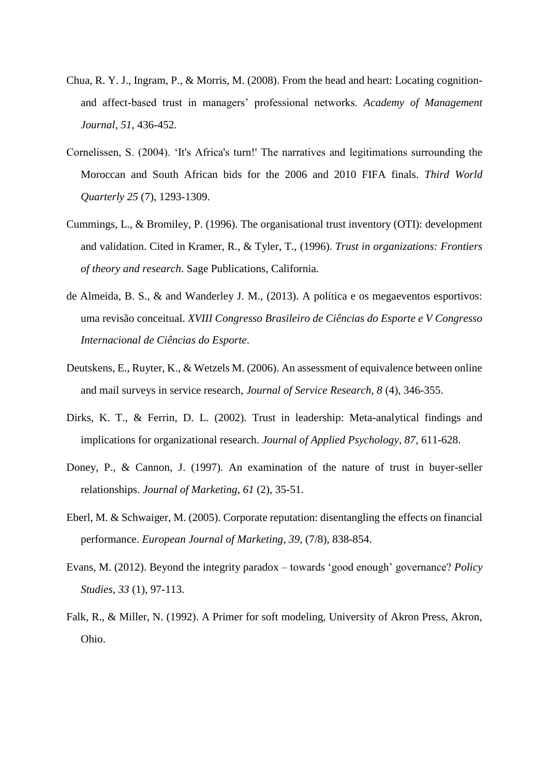- Chua, R. Y. J., Ingram, P., & Morris, M. (2008). From the head and heart: Locating cognitionand affect-based trust in managers' professional networks. *Academy of Management Journal, 51*, 436-452.
- Cornelissen, S. (2004). 'It's Africa's turn!' The narratives and legitimations surrounding the Moroccan and South African bids for the 2006 and 2010 FIFA finals. *Third World Quarterly 25* (7), 1293-1309.
- Cummings, L., & Bromiley, P. (1996). The organisational trust inventory (OTI): development and validation. Cited in Kramer, R., & Tyler, T., (1996). *Trust in organizations: Frontiers of theory and research*. Sage Publications, California.
- de Almeida, B. S., & and Wanderley J. M., (2013). A política e os megaeventos esportivos: uma revisão conceitual. *XVIII Congresso Brasileiro de Ciências do Esporte e V Congresso Internacional de Ciências do Esporte*.
- Deutskens, E., Ruyter, K., & Wetzels M. (2006). An assessment of equivalence between online and mail surveys in service research, *Journal of Service Research, 8* (4), 346-355.
- Dirks, K. T., & Ferrin, D. L. (2002). Trust in leadership: Meta-analytical findings and implications for organizational research. *Journal of Applied Psychology, 87,* 611-628.
- Doney, P., & Cannon, J. (1997). An examination of the nature of trust in buyer-seller relationships. *Journal of Marketing*, *61* (2), 35-51.
- Eberl, M. & Schwaiger, M. (2005). Corporate reputation: disentangling the effects on financial performance. *European Journal of Marketing, 39,* (7/8), 838-854.
- Evans, M. (2012). Beyond the integrity paradox towards 'good enough' governance? *Policy Studies, 33* (1), 97-113.
- Falk, R., & Miller, N. (1992). A Primer for soft modeling, University of Akron Press, Akron, Ohio.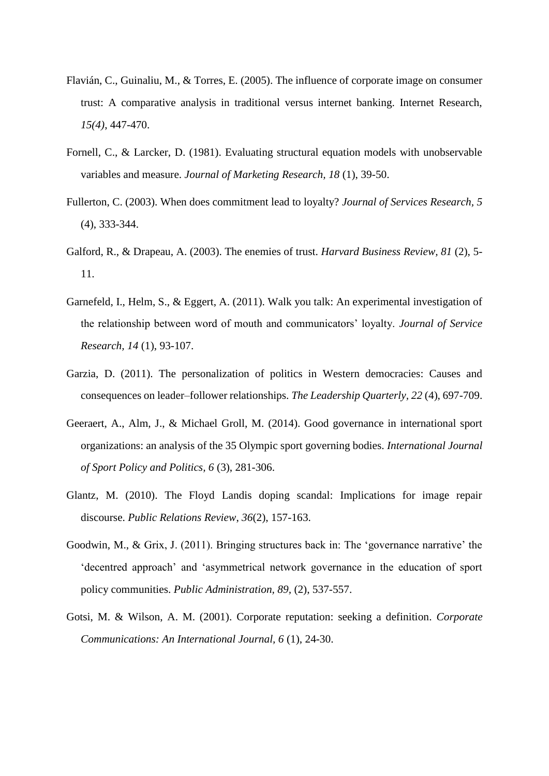- Flavián, C., Guinaliu, M., & Torres, E. (2005). The influence of corporate image on consumer trust: A comparative analysis in traditional versus internet banking. Internet Research, *15(4)*, 447-470.
- Fornell, C., & Larcker, D. (1981). Evaluating structural equation models with unobservable variables and measure. *Journal of Marketing Research, 18* (1), 39-50.
- Fullerton, C. (2003). When does commitment lead to loyalty? *Journal of Services Research, 5* (4), 333-344.
- Galford, R., & Drapeau, A. (2003). The enemies of trust. *Harvard Business Review, 81* (2), 5- 11.
- Garnefeld, I., Helm, S., & Eggert, A. (2011). Walk you talk: An experimental investigation of the relationship between word of mouth and communicators' loyalty. *Journal of Service Research, 14* (1), 93-107.
- Garzia, D. (2011). The personalization of politics in Western democracies: Causes and consequences on leader–follower relationships. *The Leadership Quarterly, 22* (4), 697-709.
- Geeraert, A., Alm, J., & Michael Groll, M. (2014). Good governance in international sport organizations: an analysis of the 35 Olympic sport governing bodies. *International Journal of Sport Policy and Politics, 6* (3), 281-306.
- Glantz, M. (2010). The Floyd Landis doping scandal: Implications for image repair discourse. *Public Relations Review*, *36*(2), 157-163.
- Goodwin, M., & Grix, J. (2011). Bringing structures back in: The 'governance narrative' the 'decentred approach' and 'asymmetrical network governance in the education of sport policy communities. *Public Administration, 89,* (2), 537-557.
- Gotsi, M. & Wilson, A. M. (2001). Corporate reputation: seeking a definition. *Corporate Communications: An International Journal, 6* (1), 24-30.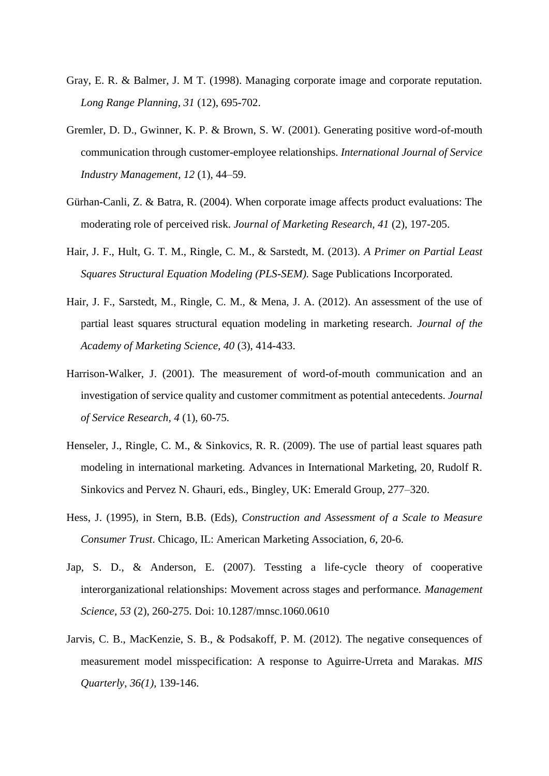- Gray, E. R. & Balmer, J. M T. (1998). Managing corporate image and corporate reputation. *Long Range Planning, 31* (12), 695-702.
- Gremler, D. D., Gwinner, K. P. & Brown, S. W. (2001). Generating positive word-of-mouth communication through customer-employee relationships. *International Journal of Service Industry Management*, *12* (1), 44–59.
- Gürhan-Canli, Z. & Batra, R. (2004). When corporate image affects product evaluations: The moderating role of perceived risk. *Journal of Marketing Research, 41* (2), 197-205.
- Hair, J. F., Hult, G. T. M., Ringle, C. M., & Sarstedt, M. (2013). *A Primer on Partial Least Squares Structural Equation Modeling (PLS-SEM).* Sage Publications Incorporated.
- Hair, J. F., Sarstedt, M., Ringle, C. M., & Mena, J. A. (2012). An assessment of the use of partial least squares structural equation modeling in marketing research. *Journal of the Academy of Marketing Science, 40* (3), 414-433.
- Harrison-Walker, J. (2001). The measurement of word-of-mouth communication and an investigation of service quality and customer commitment as potential antecedents. *Journal of Service Research, 4* (1), 60-75.
- Henseler, J., Ringle, C. M., & Sinkovics, R. R. (2009). The use of partial least squares path modeling in international marketing. Advances in International Marketing, 20, Rudolf R. Sinkovics and Pervez N. Ghauri, eds., Bingley, UK: Emerald Group, 277–320.
- Hess, J. (1995), in Stern, B.B. (Eds), *Construction and Assessment of a Scale to Measure Consumer Trust*. Chicago, IL: American Marketing Association, *6*, 20-6.
- Jap, S. D., & Anderson, E. (2007). Tessting a life-cycle theory of cooperative interorganizational relationships: Movement across stages and performance. *Management Science, 53* (2), 260-275. Doi: 10.1287/mnsc.1060.0610
- Jarvis, C. B., MacKenzie, S. B., & Podsakoff, P. M. (2012). The negative consequences of measurement model misspecification: A response to Aguirre-Urreta and Marakas. *MIS Quarterly*, *36(1)*, 139-146.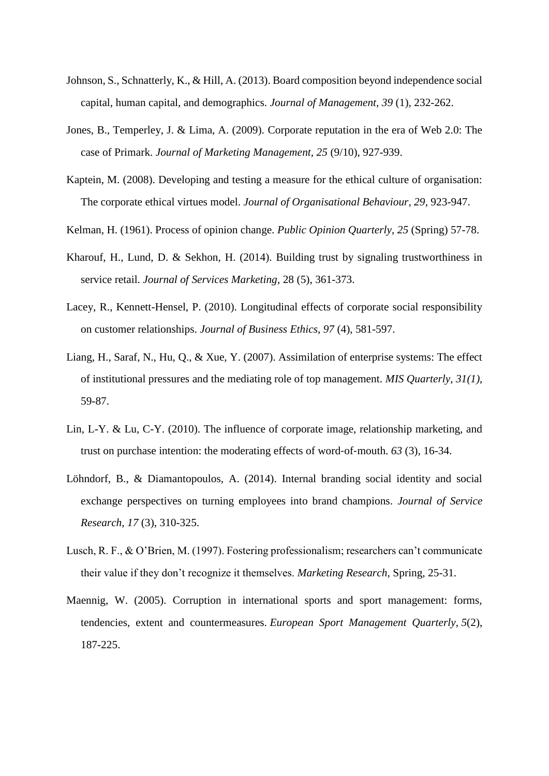- Johnson, S., Schnatterly, K., & Hill, A. (2013). Board composition beyond independence social capital, human capital, and demographics. *Journal of Management, 39* (1), 232-262.
- Jones, B., Temperley, J. & Lima, A. (2009). Corporate reputation in the era of Web 2.0: The case of Primark. *Journal of Marketing Management, 25* (9/10), 927-939.
- Kaptein, M. (2008). Developing and testing a measure for the ethical culture of organisation: The corporate ethical virtues model. *Journal of Organisational Behaviour, 29*, 923-947.
- Kelman, H. (1961). Process of opinion change. *Public Opinion Quarterly*, *25* (Spring) 57-78.
- Kharouf, H., Lund, D. & Sekhon, H. (2014). Building trust by signaling trustworthiness in service retail. *Journal of Services Marketing*, 28 (5), 361-373.
- Lacey, R., Kennett-Hensel, P. (2010). Longitudinal effects of corporate social responsibility on customer relationships. *Journal of Business Ethics, 97* (4), 581-597.
- Liang, H., Saraf, N., Hu, Q., & Xue, Y. (2007). Assimilation of enterprise systems: The effect of institutional pressures and the mediating role of top management. *MIS Quarterly*, *31(1)*, 59-87.
- Lin, L-Y. & Lu, C-Y. (2010). The influence of corporate image, relationship marketing, and trust on purchase intention: the moderating effects of word‐of‐mouth. *63* (3), 16-34.
- Löhndorf, B., & Diamantopoulos, A. (2014). Internal branding social identity and social exchange perspectives on turning employees into brand champions. *Journal of Service Research*, *17* (3), 310-325.
- Lusch, R. F., & O'Brien, M. (1997). Fostering professionalism; researchers can't communicate their value if they don't recognize it themselves. *Marketing Research,* Spring*,* 25-31.
- Maennig, W. (2005). Corruption in international sports and sport management: forms, tendencies, extent and countermeasures. *European Sport Management Quarterly*, *5*(2), 187-225.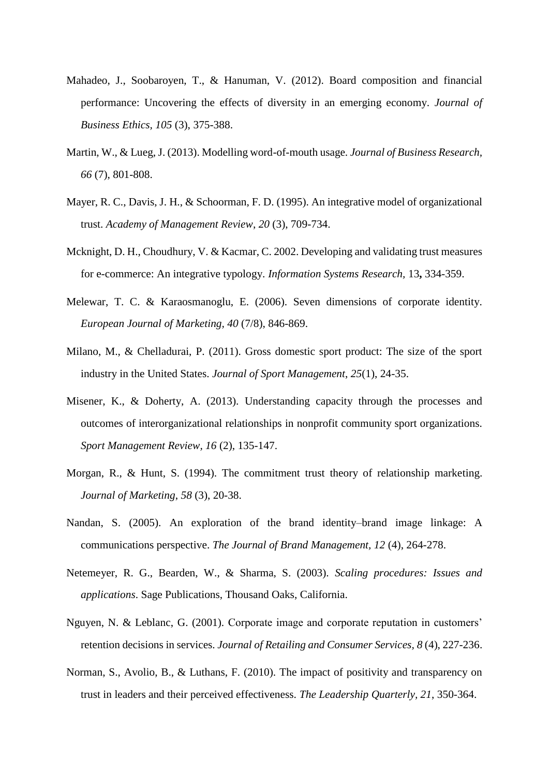- Mahadeo, J., Soobaroyen, T., & Hanuman, V. (2012). Board composition and financial performance: Uncovering the effects of diversity in an emerging economy. *Journal of Business Ethics, 105* (3), 375-388.
- Martin, W., & Lueg, J. (2013). Modelling word-of-mouth usage. *Journal of Business Research, 66* (7), 801-808.
- Mayer, R. C., Davis, J. H., & Schoorman, F. D. (1995). An integrative model of organizational trust. *Academy of Management Review*, *20* (3), 709-734.
- Mcknight, D. H., Choudhury, V. & Kacmar, C. 2002. Developing and validating trust measures for e-commerce: An integrative typology. *Information Systems Research,* 13**,** 334-359.
- Melewar, T. C. & Karaosmanoglu, E. (2006). Seven dimensions of corporate identity. *European Journal of Marketing, 40* (7/8), 846-869.
- Milano, M., & Chelladurai, P. (2011). Gross domestic sport product: The size of the sport industry in the United States. *Journal of Sport Management*, *25*(1), 24-35.
- Misener, K., & Doherty, A. (2013). Understanding capacity through the processes and outcomes of interorganizational relationships in nonprofit community sport organizations. *Sport Management Review, 16* (2), 135-147.
- Morgan, R., & Hunt, S. (1994). The commitment trust theory of relationship marketing. *Journal of Marketing*, *58* (3), 20-38.
- Nandan, S. (2005). An exploration of the brand identity–brand image linkage: A communications perspective. *The Journal of Brand Management, 12* (4), 264-278.
- Netemeyer, R. G., Bearden, W., & Sharma, S. (2003). *Scaling procedures: Issues and applications*. Sage Publications, Thousand Oaks, California.
- Nguyen, N. & Leblanc, G. (2001). Corporate image and corporate reputation in customers' retention decisions in services. *Journal of Retailing and Consumer Services, 8* (4), 227-236.
- Norman, S., Avolio, B., & Luthans, F. (2010). The impact of positivity and transparency on trust in leaders and their perceived effectiveness. *The Leadership Quarterly, 21*, 350-364.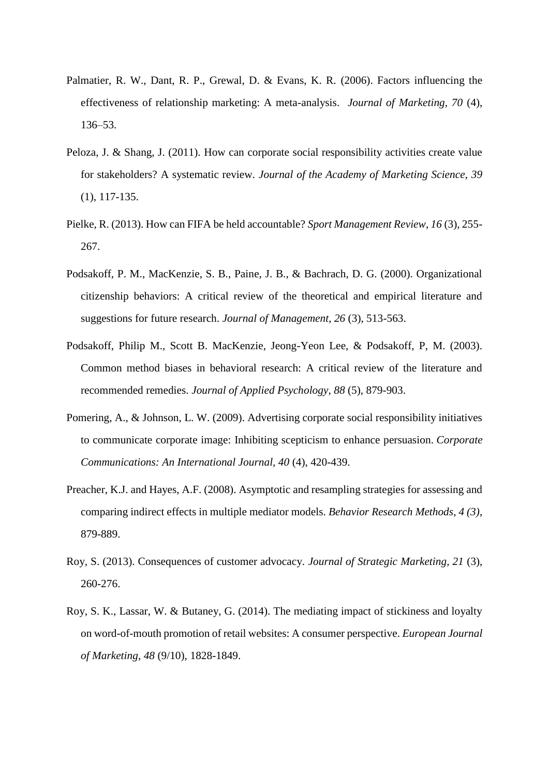- Palmatier, R. W., Dant, R. P., Grewal, D. & Evans, K. R. (2006). Factors influencing the effectiveness of relationship marketing: A meta-analysis. *Journal of Marketing, 70* (4), 136–53.
- Peloza, J. & Shang, J. (2011). How can corporate social responsibility activities create value for stakeholders? A systematic review. *Journal of the Academy of Marketing Science, 39*  (1), 117-135.
- Pielke, R. (2013). How can FIFA be held accountable? *Sport Management Review*, *16* (3), 255- 267.
- Podsakoff, P. M., MacKenzie, S. B., Paine, J. B., & Bachrach, D. G. (2000). Organizational citizenship behaviors: A critical review of the theoretical and empirical literature and suggestions for future research. *Journal of Management*, *26* (3), 513-563.
- Podsakoff, Philip M., Scott B. MacKenzie, Jeong-Yeon Lee, & Podsakoff, P, M. (2003). Common method biases in behavioral research: A critical review of the literature and recommended remedies. *Journal of Applied Psychology*, *88* (5), 879-903.
- [Pomering,](http://www.emeraldinsight.com/action/doSearch?ContribStored=Pomering%2c+A) A., & Johnson, L. W. (2009). Advertising corporate social responsibility initiatives to communicate corporate image: Inhibiting scepticism to enhance persuasion. *Corporate Communications: An International Journal, 40* (4), 420-439.
- Preacher, K.J. and Hayes, A.F. (2008). Asymptotic and resampling strategies for assessing and comparing indirect effects in multiple mediator models. *Behavior Research Methods*, *4 (3)*, 879-889.
- Roy, S. (2013). Consequences of customer advocacy. *Journal of Strategic Marketing, 21* (3), 260-276.
- Roy, S. K., Lassar, W. & Butaney, G. (2014). The mediating impact of stickiness and loyalty on word-of-mouth promotion of retail websites: A consumer perspective. *European Journal of Marketing*, *48* (9/10), 1828-1849.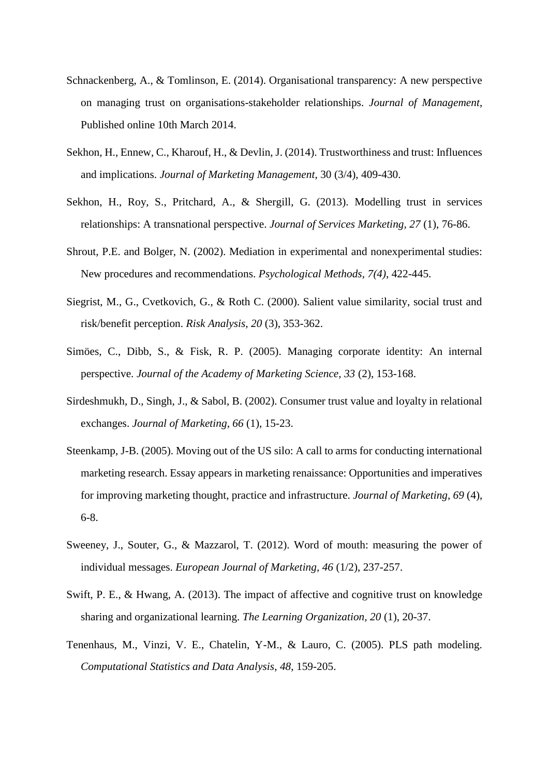- Schnackenberg, A., & Tomlinson, E. (2014). Organisational transparency: A new perspective on managing trust on organisations-stakeholder relationships. *Journal of Management*, Published online 10th March 2014.
- Sekhon, H., Ennew, C., Kharouf, H., & Devlin, J. (2014). Trustworthiness and trust: Influences and implications. *Journal of Marketing Management*, 30 (3/4), 409-430.
- Sekhon, H., Roy, S., Pritchard, A., & Shergill, G. (2013). Modelling trust in services relationships: A transnational perspective. *Journal of Services Marketing, 27* (1), 76-86.
- Shrout, P.E. and Bolger, N. (2002). Mediation in experimental and nonexperimental studies: New procedures and recommendations. *Psychological Methods*, *7(4)*, 422-445.
- Siegrist, M., G., Cvetkovich, G., & Roth C. (2000). Salient value similarity, social trust and risk/benefit perception. *Risk Analysis, 20* (3), 353-362.
- Simöes, C., Dibb, S., & Fisk, R. P. (2005). Managing corporate identity: An internal perspective. *Journal of the Academy of Marketing Science, 33* (2), 153-168.
- Sirdeshmukh, D., Singh, J., & Sabol, B. (2002). Consumer trust value and loyalty in relational exchanges. *Journal of Marketing*, *66* (1), 15-23.
- Steenkamp, J-B. (2005). Moving out of the US silo: A call to arms for conducting international marketing research. Essay appears in marketing renaissance: Opportunities and imperatives for improving marketing thought, practice and infrastructure. *Journal of Marketing, 69* (4), 6-8.
- Sweeney, J., Souter, G., & Mazzarol, T. (2012). Word of mouth: measuring the power of individual messages. *European Journal of Marketing, 46* (1/2), 237-257.
- Swift, P. E., & Hwang, A. (2013). The impact of affective and cognitive trust on knowledge sharing and organizational learning. *The Learning Organization, 20* (1), 20-37.
- Tenenhaus, M., Vinzi, V. E., Chatelin, Y-M., & Lauro, C. (2005). PLS path modeling. *Computational Statistics and Data Analysis*, *48*, 159-205.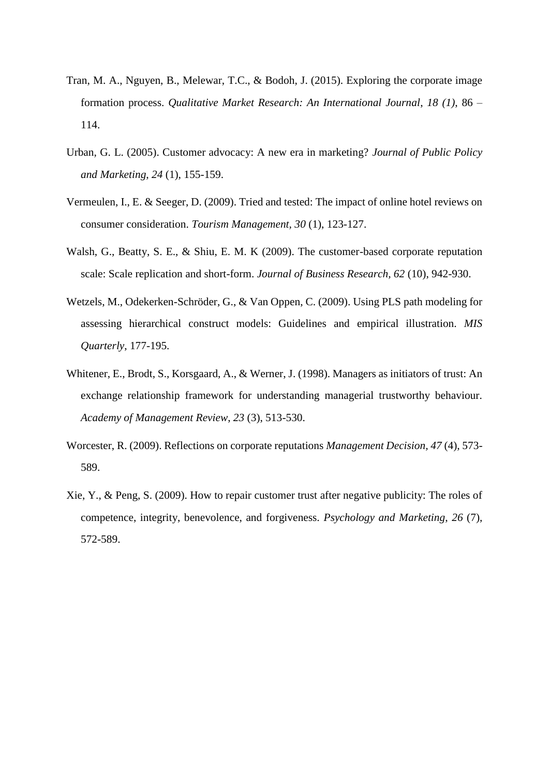- Tran, M. A., Nguyen, B., Melewar, T.C., & Bodoh, J. (2015). Exploring the corporate image formation process. *Qualitative Market Research: An International Journal*, *18 (1)*, 86 – 114.
- Urban, G. L. (2005). Customer advocacy: A new era in marketing? *Journal of Public Policy and Marketing*, *24* (1), 155-159.
- Vermeulen, I., E. & Seeger, D. (2009). Tried and tested: The impact of online hotel reviews on consumer consideration. *Tourism Management, 30* (1), 123-127.
- Walsh, G., Beatty, S. E., & Shiu, E. M. K (2009). The customer-based corporate reputation scale: Scale replication and short-form. *Journal of Business Research, 62* (10), 942-930.
- Wetzels, M., Odekerken-Schröder, G., & Van Oppen, C. (2009). Using PLS path modeling for assessing hierarchical construct models: Guidelines and empirical illustration. *MIS Quarterly*, 177-195.
- Whitener, E., Brodt, S., Korsgaard, A., & Werner, J. (1998). Managers as initiators of trust: An exchange relationship framework for understanding managerial trustworthy behaviour. *Academy of Management Review*, *23* (3), 513-530.
- Worcester, R. (2009). Reflections on corporate reputations *Management Decision, 47* (4), 573- 589.
- Xie, Y., & Peng, S. (2009). How to repair customer trust after negative publicity: The roles of competence, integrity, benevolence, and forgiveness. *Psychology and Marketing*, *26* (7), 572-589.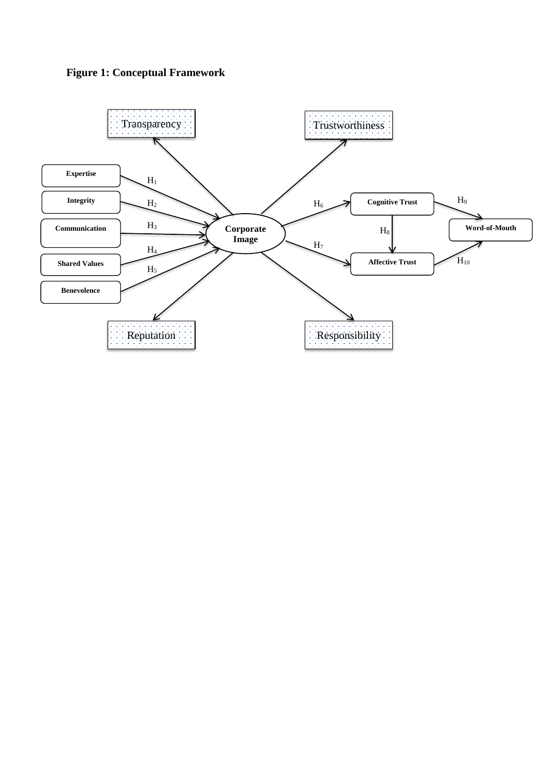

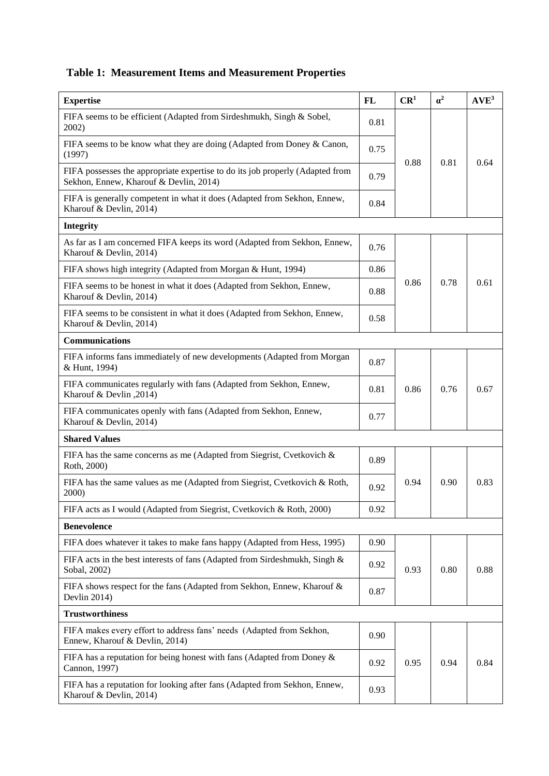**Table 1: Measurement Items and Measurement Properties**

| <b>Expertise</b>                                                                                                        | FL   | CR <sup>1</sup> | $\alpha^2$ | $AVE^3$ |
|-------------------------------------------------------------------------------------------------------------------------|------|-----------------|------------|---------|
| FIFA seems to be efficient (Adapted from Sirdeshmukh, Singh & Sobel,<br>2002)                                           | 0.81 |                 |            |         |
| FIFA seems to be know what they are doing (Adapted from Doney & Canon,<br>(1997)                                        | 0.75 |                 |            |         |
| FIFA possesses the appropriate expertise to do its job properly (Adapted from<br>Sekhon, Ennew, Kharouf & Devlin, 2014) | 0.79 | 0.88            | 0.81       | 0.64    |
| FIFA is generally competent in what it does (Adapted from Sekhon, Ennew,<br>Kharouf & Devlin, 2014)                     | 0.84 |                 |            |         |
| <b>Integrity</b>                                                                                                        |      |                 |            |         |
| As far as I am concerned FIFA keeps its word (Adapted from Sekhon, Ennew,<br>Kharouf & Devlin, 2014)                    | 0.76 |                 |            |         |
| FIFA shows high integrity (Adapted from Morgan & Hunt, 1994)                                                            | 0.86 |                 |            |         |
| FIFA seems to be honest in what it does (Adapted from Sekhon, Ennew,<br>Kharouf & Devlin, 2014)                         | 0.88 | 0.86            | 0.78       | 0.61    |
| FIFA seems to be consistent in what it does (Adapted from Sekhon, Ennew,<br>Kharouf & Devlin, 2014)                     | 0.58 |                 |            |         |
| <b>Communications</b>                                                                                                   |      |                 |            |         |
| FIFA informs fans immediately of new developments (Adapted from Morgan<br>& Hunt, 1994)                                 | 0.87 |                 |            |         |
| FIFA communicates regularly with fans (Adapted from Sekhon, Ennew,<br>Kharouf & Devlin, 2014)                           | 0.81 | 0.86            | 0.76       | 0.67    |
| FIFA communicates openly with fans (Adapted from Sekhon, Ennew,<br>Kharouf & Devlin, 2014)                              | 0.77 |                 |            |         |
| <b>Shared Values</b>                                                                                                    |      |                 |            |         |
| FIFA has the same concerns as me (Adapted from Siegrist, Cvetkovich $\&$<br>Roth, 2000)                                 | 0.89 |                 |            |         |
| FIFA has the same values as me (Adapted from Siegrist, Cvetkovich & Roth,<br>2000)                                      | 0.92 | 0.94            | 0.90       | 0.83    |
| FIFA acts as I would (Adapted from Siegrist, Cvetkovich & Roth, 2000)                                                   | 0.92 |                 |            |         |
| <b>Benevolence</b>                                                                                                      |      |                 |            |         |
| FIFA does whatever it takes to make fans happy (Adapted from Hess, 1995)                                                | 0.90 |                 |            |         |
| FIFA acts in the best interests of fans (Adapted from Sirdeshmukh, Singh $\&$<br>Sobal, 2002)                           | 0.92 | 0.93            | 0.80       | 0.88    |
| FIFA shows respect for the fans (Adapted from Sekhon, Ennew, Kharouf &<br>Devlin 2014)                                  | 0.87 |                 |            |         |
| <b>Trustworthiness</b>                                                                                                  |      |                 |            |         |
| FIFA makes every effort to address fans' needs (Adapted from Sekhon,<br>Ennew, Kharouf & Devlin, 2014)                  | 0.90 |                 |            |         |
| FIFA has a reputation for being honest with fans (Adapted from Doney $\&$<br>Cannon, 1997)                              | 0.92 | 0.95            | 0.94       | 0.84    |
| FIFA has a reputation for looking after fans (Adapted from Sekhon, Ennew,<br>Kharouf & Devlin, 2014)                    | 0.93 |                 |            |         |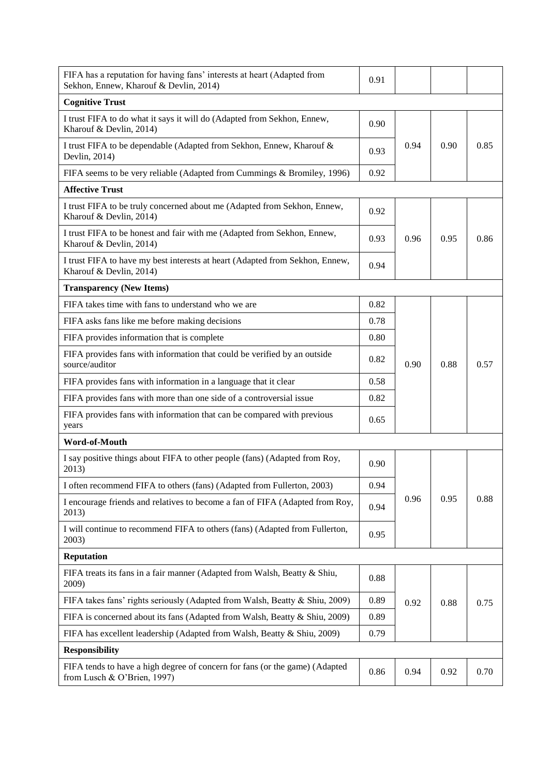| FIFA has a reputation for having fans' interests at heart (Adapted from<br>Sekhon, Ennew, Kharouf & Devlin, 2014) | 0.91 |      |      |      |
|-------------------------------------------------------------------------------------------------------------------|------|------|------|------|
| <b>Cognitive Trust</b>                                                                                            |      |      |      |      |
| I trust FIFA to do what it says it will do (Adapted from Sekhon, Ennew,<br>Kharouf & Devlin, 2014)                | 0.90 |      |      |      |
| I trust FIFA to be dependable (Adapted from Sekhon, Ennew, Kharouf &<br>Devlin, 2014)                             | 0.93 | 0.94 | 0.90 | 0.85 |
| FIFA seems to be very reliable (Adapted from Cummings & Bromiley, 1996)                                           | 0.92 |      |      |      |
| <b>Affective Trust</b>                                                                                            |      |      |      |      |
| I trust FIFA to be truly concerned about me (Adapted from Sekhon, Ennew,<br>Kharouf & Devlin, 2014)               | 0.92 |      |      |      |
| I trust FIFA to be honest and fair with me (Adapted from Sekhon, Ennew,<br>Kharouf & Devlin, 2014)                | 0.93 | 0.96 | 0.95 | 0.86 |
| I trust FIFA to have my best interests at heart (Adapted from Sekhon, Ennew,<br>Kharouf & Devlin, 2014)           | 0.94 |      |      |      |
| <b>Transparency (New Items)</b>                                                                                   |      |      |      |      |
| FIFA takes time with fans to understand who we are                                                                | 0.82 |      |      |      |
| FIFA asks fans like me before making decisions                                                                    | 0.78 |      | 0.88 |      |
| FIFA provides information that is complete                                                                        | 0.80 |      |      |      |
| FIFA provides fans with information that could be verified by an outside<br>source/auditor                        | 0.82 | 0.90 |      | 0.57 |
| FIFA provides fans with information in a language that it clear                                                   | 0.58 |      |      |      |
| FIFA provides fans with more than one side of a controversial issue                                               | 0.82 |      |      |      |
| FIFA provides fans with information that can be compared with previous<br>years                                   | 0.65 |      |      |      |
| Word-of-Mouth                                                                                                     |      |      |      |      |
| I say positive things about FIFA to other people (fans) (Adapted from Roy,<br>2013)                               | 0.90 |      |      |      |
| I often recommend FIFA to others (fans) (Adapted from Fullerton, 2003)                                            | 0.94 |      |      | 0.88 |
| I encourage friends and relatives to become a fan of FIFA (Adapted from Roy,<br>2013)                             | 0.94 | 0.96 | 0.95 |      |
| I will continue to recommend FIFA to others (fans) (Adapted from Fullerton,<br>2003)                              | 0.95 |      |      |      |
| <b>Reputation</b>                                                                                                 |      |      |      |      |
| FIFA treats its fans in a fair manner (Adapted from Walsh, Beatty & Shiu,<br>2009)                                | 0.88 |      |      |      |
| FIFA takes fans' rights seriously (Adapted from Walsh, Beatty & Shiu, 2009)                                       | 0.89 | 0.92 | 0.88 | 0.75 |
| FIFA is concerned about its fans (Adapted from Walsh, Beatty & Shiu, 2009)                                        | 0.89 |      |      |      |
| FIFA has excellent leadership (Adapted from Walsh, Beatty & Shiu, 2009)                                           | 0.79 |      |      |      |
| <b>Responsibility</b>                                                                                             |      |      |      |      |
| FIFA tends to have a high degree of concern for fans (or the game) (Adapted<br>from Lusch & O'Brien, 1997)        | 0.86 | 0.94 | 0.92 | 0.70 |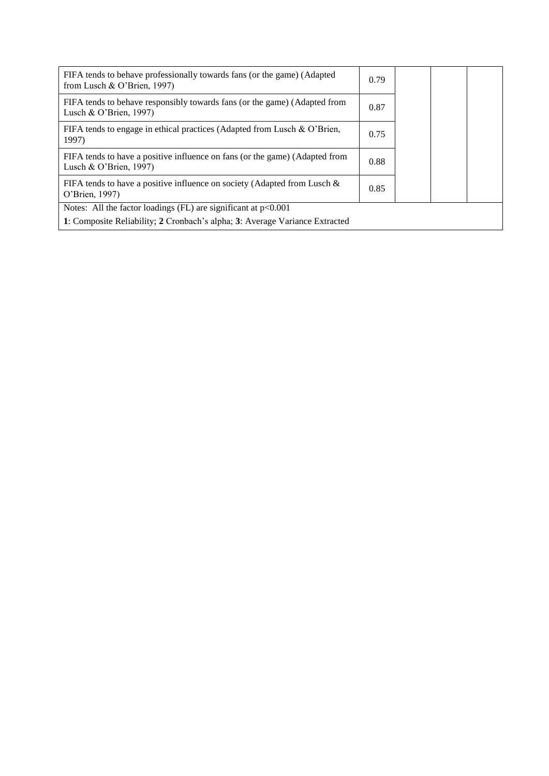| FIFA tends to behave professionally towards fans (or the game) (Adapted<br>from Lusch & O'Brien, 1997)   | 0.79 |  |  |
|----------------------------------------------------------------------------------------------------------|------|--|--|
| FIFA tends to behave responsibly towards fans (or the game) (Adapted from<br>Lusch & O'Brien, $1997$ )   | 0.87 |  |  |
| FIFA tends to engage in ethical practices (Adapted from Lusch & O'Brien,<br>1997)                        | 0.75 |  |  |
| FIFA tends to have a positive influence on fans (or the game) (Adapted from<br>Lusch & O'Brien, $1997$ ) | 0.88 |  |  |
| FIFA tends to have a positive influence on society (Adapted from Lusch $\&$<br>O'Brien, 1997)            | 0.85 |  |  |
| Notes: All the factor loadings (FL) are significant at $p<0.001$                                         |      |  |  |
| 1: Composite Reliability; 2 Cronbach's alpha; 3: Average Variance Extracted                              |      |  |  |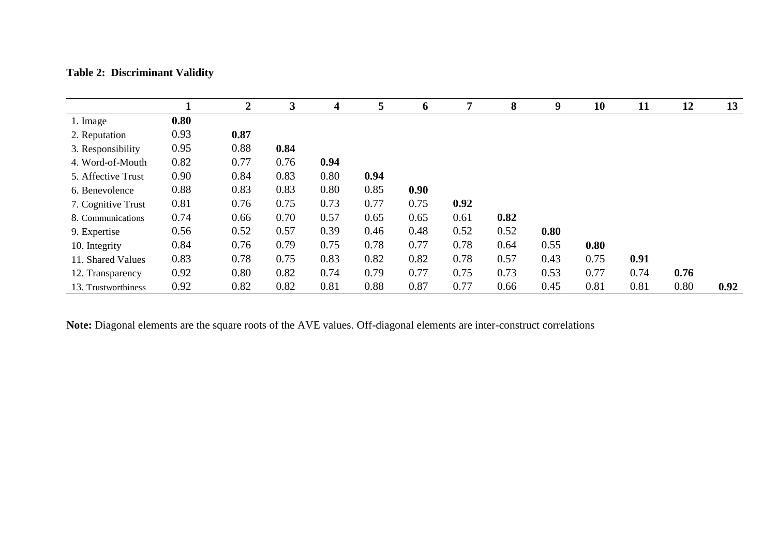## **Table 2: Discriminant Validity**

|                     |      | $\mathbf 2$ | 3    | 4    | 5    | 6    | 7    | 8    | 9    | 10   | 11   | 12   | 13   |
|---------------------|------|-------------|------|------|------|------|------|------|------|------|------|------|------|
| 1. Image            | 0.80 |             |      |      |      |      |      |      |      |      |      |      |      |
| 2. Reputation       | 0.93 | 0.87        |      |      |      |      |      |      |      |      |      |      |      |
| 3. Responsibility   | 0.95 | 0.88        | 0.84 |      |      |      |      |      |      |      |      |      |      |
| 4. Word-of-Mouth    | 0.82 | 0.77        | 0.76 | 0.94 |      |      |      |      |      |      |      |      |      |
| 5. Affective Trust  | 0.90 | 0.84        | 0.83 | 0.80 | 0.94 |      |      |      |      |      |      |      |      |
| 6. Benevolence      | 0.88 | 0.83        | 0.83 | 0.80 | 0.85 | 0.90 |      |      |      |      |      |      |      |
| 7. Cognitive Trust  | 0.81 | 0.76        | 0.75 | 0.73 | 0.77 | 0.75 | 0.92 |      |      |      |      |      |      |
| 8. Communications   | 0.74 | 0.66        | 0.70 | 0.57 | 0.65 | 0.65 | 0.61 | 0.82 |      |      |      |      |      |
| 9. Expertise        | 0.56 | 0.52        | 0.57 | 0.39 | 0.46 | 0.48 | 0.52 | 0.52 | 0.80 |      |      |      |      |
| 10. Integrity       | 0.84 | 0.76        | 0.79 | 0.75 | 0.78 | 0.77 | 0.78 | 0.64 | 0.55 | 0.80 |      |      |      |
| 11. Shared Values   | 0.83 | 0.78        | 0.75 | 0.83 | 0.82 | 0.82 | 0.78 | 0.57 | 0.43 | 0.75 | 0.91 |      |      |
| 12. Transparency    | 0.92 | 0.80        | 0.82 | 0.74 | 0.79 | 0.77 | 0.75 | 0.73 | 0.53 | 0.77 | 0.74 | 0.76 |      |
| 13. Trustworthiness | 0.92 | 0.82        | 0.82 | 0.81 | 0.88 | 0.87 | 0.77 | 0.66 | 0.45 | 0.81 | 0.81 | 0.80 | 0.92 |

**Note:** Diagonal elements are the square roots of the AVE values. Off-diagonal elements are inter-construct correlations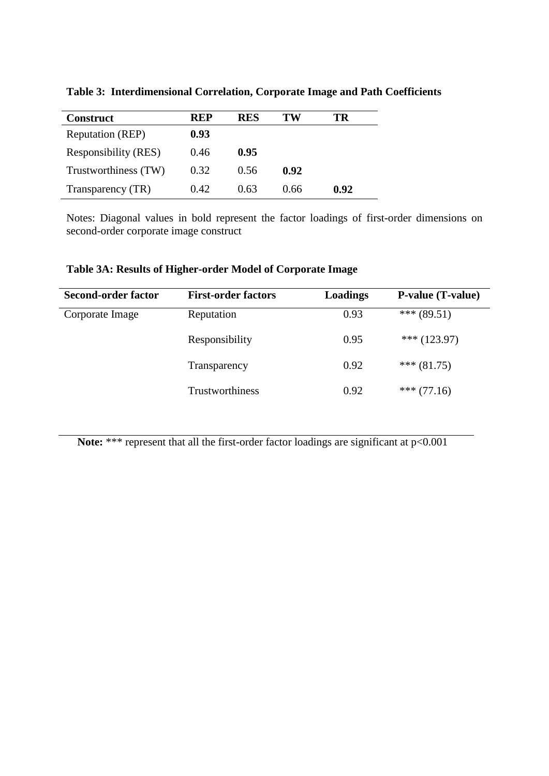| <b>Construct</b>        | REP   | <b>RES</b> | TW   | TR   |
|-------------------------|-------|------------|------|------|
| <b>Reputation (REP)</b> | 0.93  |            |      |      |
| Responsibility (RES)    | 0.46  | 0.95       |      |      |
| Trustworthiness (TW)    | 0.32  | 0.56       | 0.92 |      |
| Transparency (TR)       | 0.42. | 0.63       | 0.66 | 0.92 |

**Table 3: Interdimensional Correlation, Corporate Image and Path Coefficients** 

Notes: Diagonal values in bold represent the factor loadings of first-order dimensions on second-order corporate image construct

**Table 3A: Results of Higher-order Model of Corporate Image** 

| <b>Second-order factor</b> | <b>First-order factors</b> | Loadings | <b>P-value (T-value)</b> |
|----------------------------|----------------------------|----------|--------------------------|
| Corporate Image            | Reputation                 | 0.93     | *** $(89.51)$            |
|                            | Responsibility             | 0.95     | *** $(123.97)$           |
|                            | Transparency               | 0.92     | *** $(81.75)$            |
|                            | Trustworthiness            | 0.92     | *** $(77.16)$            |

Note: \*\*\* represent that all the first-order factor loadings are significant at p<0.001